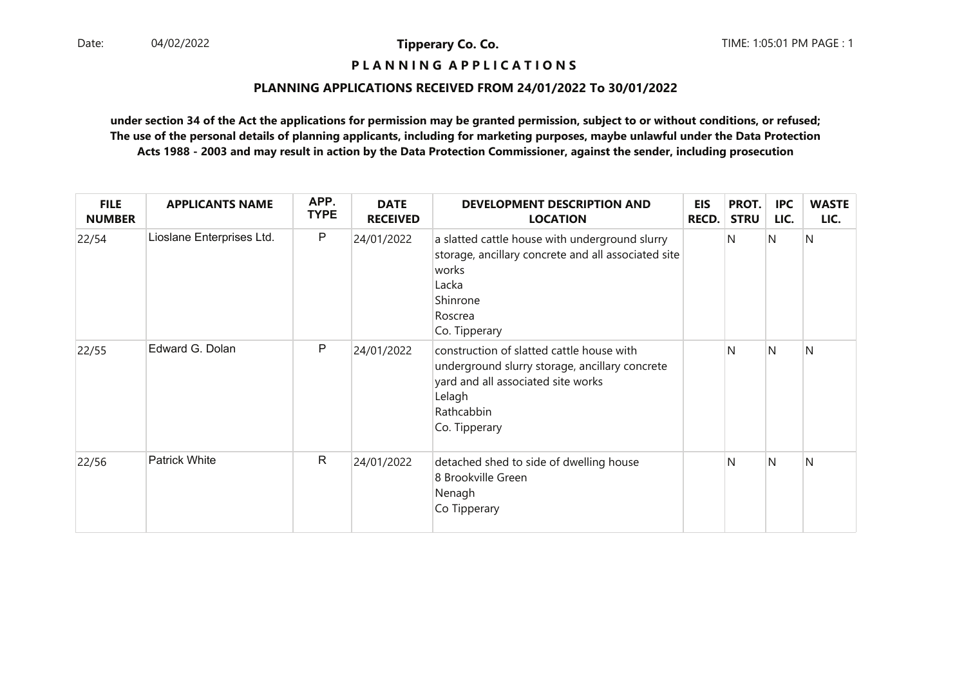# **P L A N N I N G A P P L I C A T I O N S**

## **PLANNING APPLICATIONS RECEIVED FROM 24/01/2022 To 30/01/2022**

| <b>FILE</b><br><b>NUMBER</b> | <b>APPLICANTS NAME</b>    | APP.<br><b>TYPE</b> | <b>DATE</b><br><b>RECEIVED</b> | <b>DEVELOPMENT DESCRIPTION AND</b><br><b>LOCATION</b>                                                                                                                      | <b>EIS</b><br><b>RECD.</b> | PROT.<br><b>STRU</b> | <b>IPC</b><br>LIC. | <b>WASTE</b><br>LIC. |
|------------------------------|---------------------------|---------------------|--------------------------------|----------------------------------------------------------------------------------------------------------------------------------------------------------------------------|----------------------------|----------------------|--------------------|----------------------|
| 22/54                        | Lioslane Enterprises Ltd. | P                   | 24/01/2022                     | a slatted cattle house with underground slurry<br>storage, ancillary concrete and all associated site<br>works<br>Lacka<br>Shinrone<br>Roscrea<br>Co. Tipperary            |                            | N                    | IN.                | N                    |
| 22/55                        | Edward G. Dolan           | P                   | 24/01/2022                     | construction of slatted cattle house with<br>underground slurry storage, ancillary concrete<br>yard and all associated site works<br>Lelagh<br>Rathcabbin<br>Co. Tipperary |                            | N                    | <sup>N</sup>       | N                    |
| 22/56                        | <b>Patrick White</b>      | $\mathsf{R}$        | 24/01/2022                     | detached shed to side of dwelling house<br>8 Brookville Green<br>Nenagh<br>Co Tipperary                                                                                    |                            | N                    | N                  | N                    |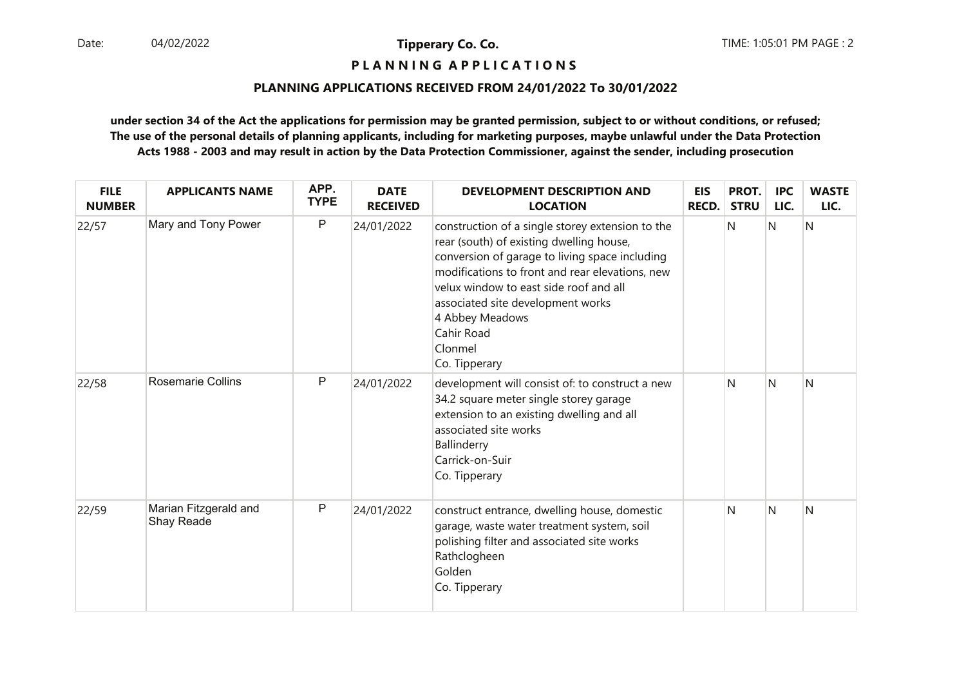**P L A N N I N G A P P L I C A T I O N S** 

## **PLANNING APPLICATIONS RECEIVED FROM 24/01/2022 To 30/01/2022**

| <b>FILE</b><br><b>NUMBER</b> | <b>APPLICANTS NAME</b>              | APP.<br><b>TYPE</b> | <b>DATE</b><br><b>RECEIVED</b> | DEVELOPMENT DESCRIPTION AND<br><b>LOCATION</b>                                                                                                                                                                                                                                                                                                | <b>EIS</b><br>RECD. | PROT.<br><b>STRU</b> | <b>IPC</b><br>LIC. | <b>WASTE</b><br>LIC. |
|------------------------------|-------------------------------------|---------------------|--------------------------------|-----------------------------------------------------------------------------------------------------------------------------------------------------------------------------------------------------------------------------------------------------------------------------------------------------------------------------------------------|---------------------|----------------------|--------------------|----------------------|
| 22/57                        | Mary and Tony Power                 | $\mathsf{P}$        | 24/01/2022                     | construction of a single storey extension to the<br>rear (south) of existing dwelling house,<br>conversion of garage to living space including<br>modifications to front and rear elevations, new<br>velux window to east side roof and all<br>associated site development works<br>4 Abbey Meadows<br>Cahir Road<br>Clonmel<br>Co. Tipperary |                     | N                    | $\mathsf{N}$       | N                    |
| 22/58                        | <b>Rosemarie Collins</b>            | $\mathsf{P}$        | 24/01/2022                     | development will consist of: to construct a new<br>34.2 square meter single storey garage<br>extension to an existing dwelling and all<br>associated site works<br>Ballinderry<br>Carrick-on-Suir<br>Co. Tipperary                                                                                                                            |                     | N                    | N                  | N                    |
| 22/59                        | Marian Fitzgerald and<br>Shay Reade | P                   | 24/01/2022                     | construct entrance, dwelling house, domestic<br>garage, waste water treatment system, soil<br>polishing filter and associated site works<br>Rathclogheen<br>Golden<br>Co. Tipperary                                                                                                                                                           |                     | N                    | N                  | Ν                    |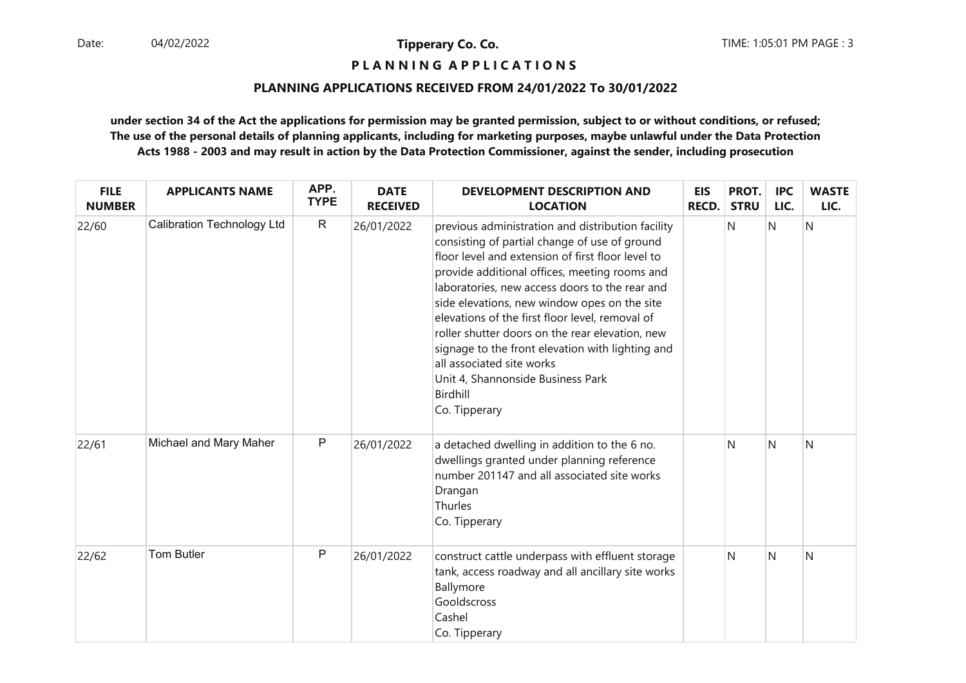**P L A N N I N G A P P L I C A T I O N S** 

## **PLANNING APPLICATIONS RECEIVED FROM 24/01/2022 To 30/01/2022**

| <b>FILE</b><br><b>NUMBER</b> | <b>APPLICANTS NAME</b>     | APP.<br><b>TYPE</b> | <b>DATE</b><br><b>RECEIVED</b> | <b>DEVELOPMENT DESCRIPTION AND</b><br><b>LOCATION</b>                                                                                                                                                                                                                                                                                                                                                                                                                                                                                                               | <b>EIS</b><br><b>RECD.</b> | PROT.<br><b>STRU</b> | <b>IPC</b><br>LIC. | <b>WASTE</b><br>LIC. |
|------------------------------|----------------------------|---------------------|--------------------------------|---------------------------------------------------------------------------------------------------------------------------------------------------------------------------------------------------------------------------------------------------------------------------------------------------------------------------------------------------------------------------------------------------------------------------------------------------------------------------------------------------------------------------------------------------------------------|----------------------------|----------------------|--------------------|----------------------|
| 22/60                        | Calibration Technology Ltd | $\mathsf{R}$        | 26/01/2022                     | previous administration and distribution facility<br>consisting of partial change of use of ground<br>floor level and extension of first floor level to<br>provide additional offices, meeting rooms and<br>laboratories, new access doors to the rear and<br>side elevations, new window opes on the site<br>elevations of the first floor level, removal of<br>roller shutter doors on the rear elevation, new<br>signage to the front elevation with lighting and<br>all associated site works<br>Unit 4, Shannonside Business Park<br>Birdhill<br>Co. Tipperary |                            | N                    | N                  | Ν                    |
| 22/61                        | Michael and Mary Maher     | P                   | 26/01/2022                     | a detached dwelling in addition to the 6 no.<br>dwellings granted under planning reference<br>number 201147 and all associated site works<br>Drangan<br>Thurles<br>Co. Tipperary                                                                                                                                                                                                                                                                                                                                                                                    |                            | N                    | N                  | N                    |
| 22/62                        | <b>Tom Butler</b>          | P                   | 26/01/2022                     | construct cattle underpass with effluent storage<br>tank, access roadway and all ancillary site works<br>Ballymore<br>Gooldscross<br>Cashel<br>Co. Tipperary                                                                                                                                                                                                                                                                                                                                                                                                        |                            | N                    | N                  | N                    |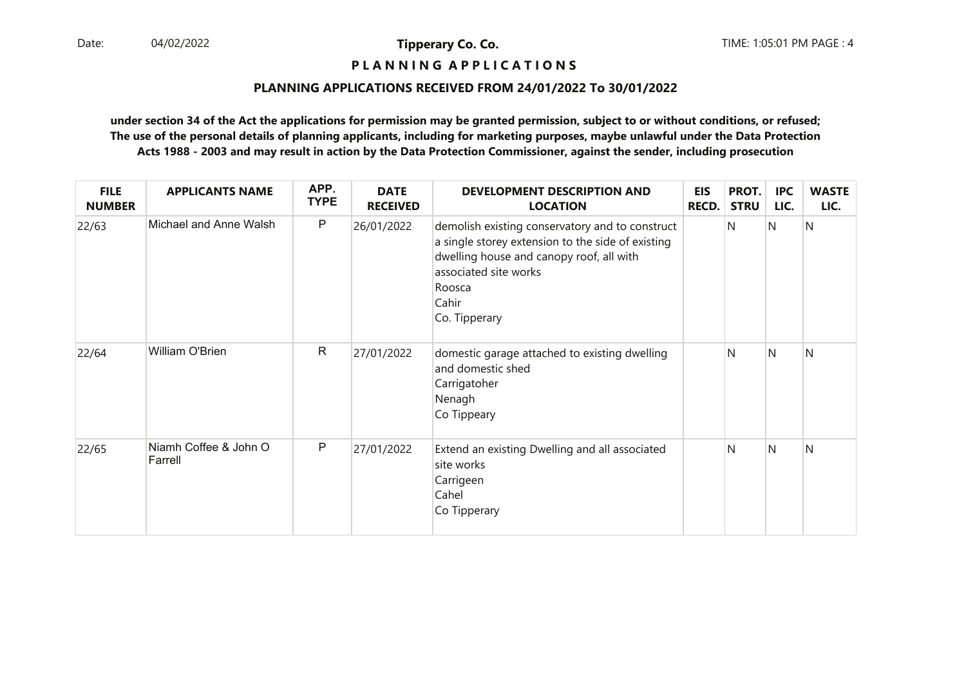# **P L A N N I N G A P P L I C A T I O N S**

## **PLANNING APPLICATIONS RECEIVED FROM 24/01/2022 To 30/01/2022**

| <b>FILE</b><br><b>NUMBER</b> | <b>APPLICANTS NAME</b>           | APP.<br><b>TYPE</b> | <b>DATE</b><br><b>RECEIVED</b> | <b>DEVELOPMENT DESCRIPTION AND</b><br><b>LOCATION</b>                                                                                                                                                         | <b>EIS</b><br><b>RECD.</b> | PROT.<br><b>STRU</b> | <b>IPC</b><br>LIC. | <b>WASTE</b><br>LIC. |
|------------------------------|----------------------------------|---------------------|--------------------------------|---------------------------------------------------------------------------------------------------------------------------------------------------------------------------------------------------------------|----------------------------|----------------------|--------------------|----------------------|
| 22/63                        | Michael and Anne Walsh           | P                   | 26/01/2022                     | demolish existing conservatory and to construct<br>a single storey extension to the side of existing<br>dwelling house and canopy roof, all with<br>associated site works<br>Roosca<br>Cahir<br>Co. Tipperary |                            | N                    | IN.                | N                    |
| 22/64                        | William O'Brien                  | $\mathsf{R}$        | 27/01/2022                     | domestic garage attached to existing dwelling<br>and domestic shed<br>Carrigatoher<br>Nenagh<br>Co Tippeary                                                                                                   |                            | N                    | <sup>N</sup>       | N                    |
| 22/65                        | Niamh Coffee & John O<br>Farrell | P                   | 27/01/2022                     | Extend an existing Dwelling and all associated<br>site works<br>Carrigeen<br>Cahel<br>Co Tipperary                                                                                                            |                            | N                    | N                  | N                    |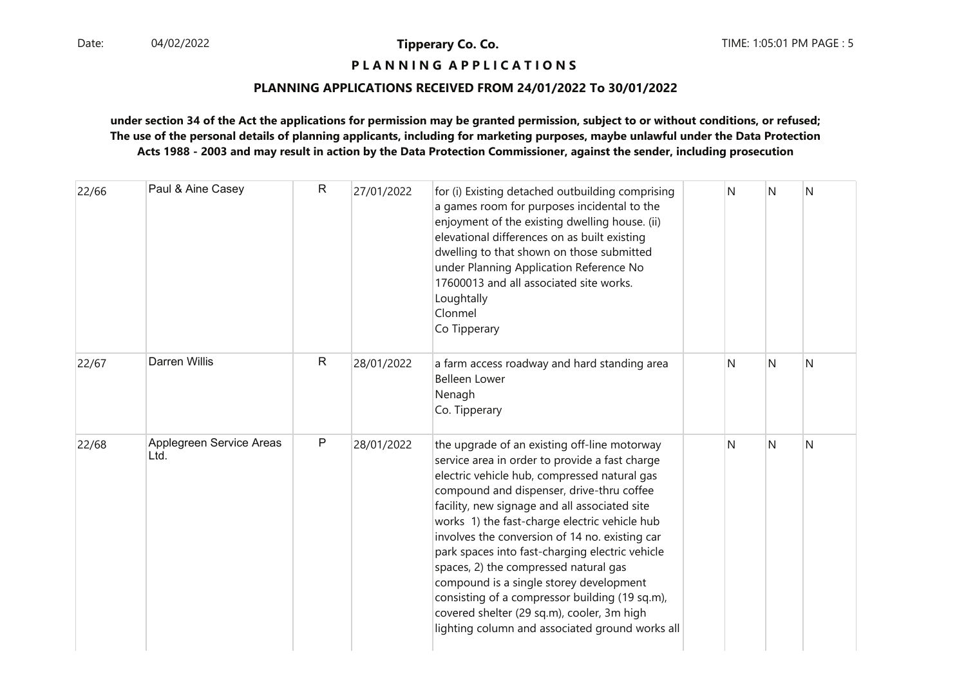## **P L A N N I N G A P P L I C A T I O N S**

## **PLANNING APPLICATIONS RECEIVED FROM 24/01/2022 To 30/01/2022**

| 22/66 | Paul & Aine Casey                | $\mathsf{R}$ | 27/01/2022 | for (i) Existing detached outbuilding comprising<br>a games room for purposes incidental to the<br>enjoyment of the existing dwelling house. (ii)<br>elevational differences on as built existing<br>dwelling to that shown on those submitted<br>under Planning Application Reference No<br>17600013 and all associated site works.<br>Loughtally<br>Clonmel<br>Co Tipperary                                                                                                                                                                                                                                                             | N | N | N |
|-------|----------------------------------|--------------|------------|-------------------------------------------------------------------------------------------------------------------------------------------------------------------------------------------------------------------------------------------------------------------------------------------------------------------------------------------------------------------------------------------------------------------------------------------------------------------------------------------------------------------------------------------------------------------------------------------------------------------------------------------|---|---|---|
| 22/67 | <b>Darren Willis</b>             | $\mathsf{R}$ | 28/01/2022 | a farm access roadway and hard standing area<br><b>Belleen Lower</b><br>Nenagh<br>Co. Tipperary                                                                                                                                                                                                                                                                                                                                                                                                                                                                                                                                           | N | N | N |
| 22/68 | Applegreen Service Areas<br>Ltd. | P            | 28/01/2022 | the upgrade of an existing off-line motorway<br>service area in order to provide a fast charge<br>electric vehicle hub, compressed natural gas<br>compound and dispenser, drive-thru coffee<br>facility, new signage and all associated site<br>works 1) the fast-charge electric vehicle hub<br>involves the conversion of 14 no. existing car<br>park spaces into fast-charging electric vehicle<br>spaces, 2) the compressed natural gas<br>compound is a single storey development<br>consisting of a compressor building (19 sq.m),<br>covered shelter (29 sq.m), cooler, 3m high<br>lighting column and associated ground works all | N | N | N |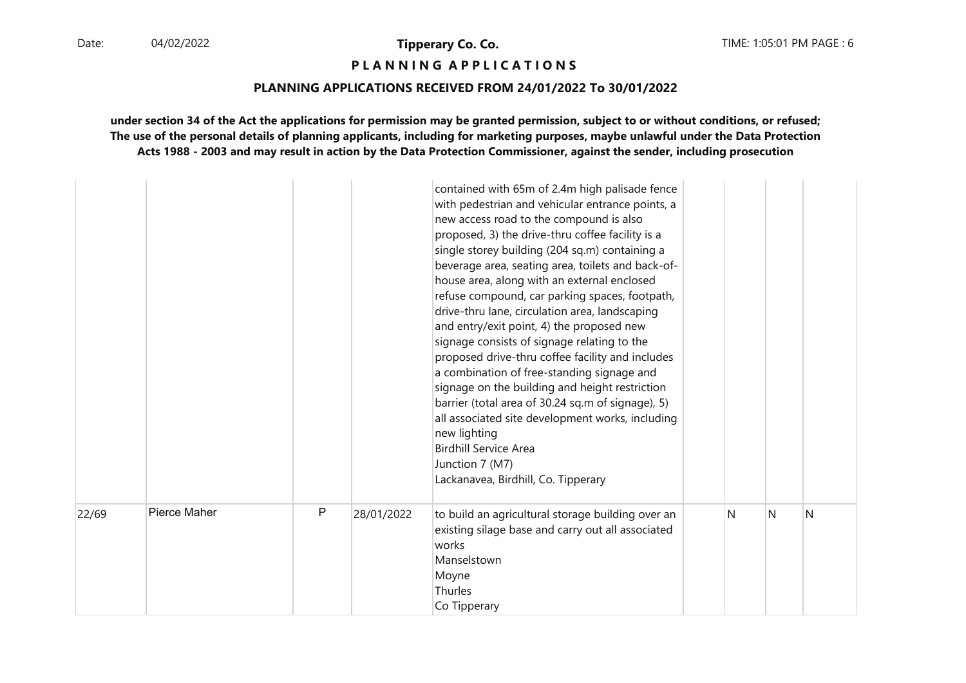**P L A N N I N G A P P L I C A T I O N S** 

## **PLANNING APPLICATIONS RECEIVED FROM 24/01/2022 To 30/01/2022**

|       |              |   |            | contained with 65m of 2.4m high palisade fence<br>with pedestrian and vehicular entrance points, a<br>new access road to the compound is also<br>proposed, 3) the drive-thru coffee facility is a<br>single storey building (204 sq.m) containing a<br>beverage area, seating area, toilets and back-of-<br>house area, along with an external enclosed<br>refuse compound, car parking spaces, footpath,<br>drive-thru lane, circulation area, landscaping<br>and entry/exit point, 4) the proposed new<br>signage consists of signage relating to the<br>proposed drive-thru coffee facility and includes<br>a combination of free-standing signage and<br>signage on the building and height restriction<br>barrier (total area of 30.24 sq.m of signage), 5)<br>all associated site development works, including<br>new lighting<br><b>Birdhill Service Area</b><br>Junction 7 (M7)<br>Lackanavea, Birdhill, Co. Tipperary |   |   |   |
|-------|--------------|---|------------|--------------------------------------------------------------------------------------------------------------------------------------------------------------------------------------------------------------------------------------------------------------------------------------------------------------------------------------------------------------------------------------------------------------------------------------------------------------------------------------------------------------------------------------------------------------------------------------------------------------------------------------------------------------------------------------------------------------------------------------------------------------------------------------------------------------------------------------------------------------------------------------------------------------------------------|---|---|---|
| 22/69 | Pierce Maher | P | 28/01/2022 | to build an agricultural storage building over an<br>existing silage base and carry out all associated<br>works<br>Manselstown<br>Moyne<br>Thurles<br>Co Tipperary                                                                                                                                                                                                                                                                                                                                                                                                                                                                                                                                                                                                                                                                                                                                                             | N | N | N |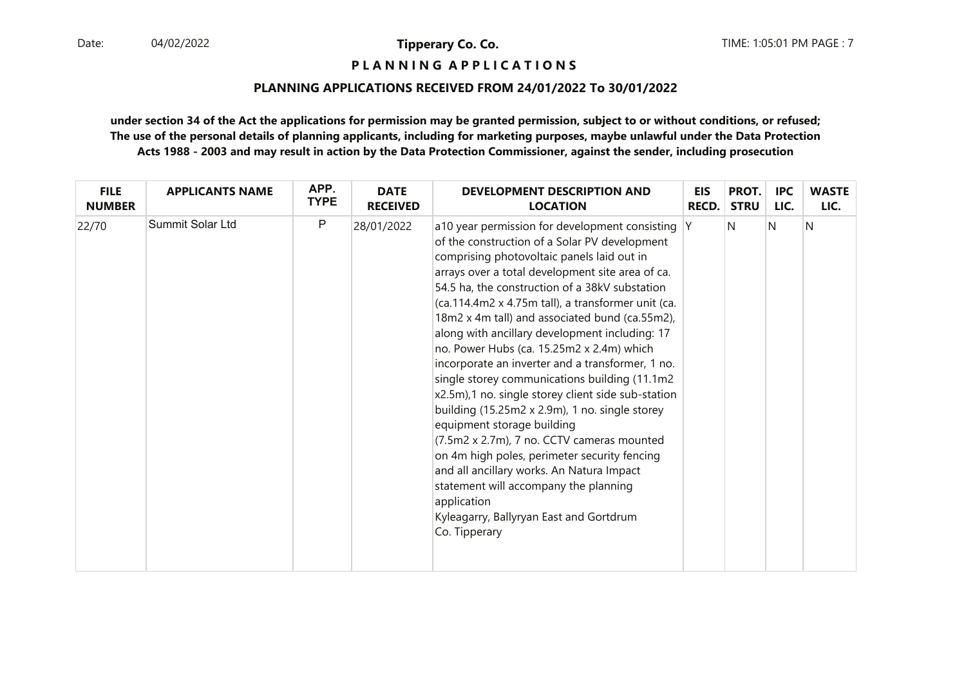**P L A N N I N G A P P L I C A T I O N S** 

## **PLANNING APPLICATIONS RECEIVED FROM 24/01/2022 To 30/01/2022**

| <b>FILE</b>   | <b>APPLICANTS NAME</b>  | APP.        | <b>DATE</b>     | <b>DEVELOPMENT DESCRIPTION AND</b>                                                                                                                                                                                                                                                                                                                                                                                                                                                                                                                                                                                                                                                                                                                                                                                                                                                                                                                                     | <b>EIS</b>   | PROT.       | <b>IPC</b> | <b>WASTE</b> |
|---------------|-------------------------|-------------|-----------------|------------------------------------------------------------------------------------------------------------------------------------------------------------------------------------------------------------------------------------------------------------------------------------------------------------------------------------------------------------------------------------------------------------------------------------------------------------------------------------------------------------------------------------------------------------------------------------------------------------------------------------------------------------------------------------------------------------------------------------------------------------------------------------------------------------------------------------------------------------------------------------------------------------------------------------------------------------------------|--------------|-------------|------------|--------------|
| <b>NUMBER</b> |                         | <b>TYPE</b> | <b>RECEIVED</b> | <b>LOCATION</b>                                                                                                                                                                                                                                                                                                                                                                                                                                                                                                                                                                                                                                                                                                                                                                                                                                                                                                                                                        | <b>RECD.</b> | <b>STRU</b> | LIC.       | LIC.         |
| 22/70         | <b>Summit Solar Ltd</b> | P           | 28/01/2022      | a10 year permission for development consisting Y<br>of the construction of a Solar PV development<br>comprising photovoltaic panels laid out in<br>arrays over a total development site area of ca.<br>54.5 ha, the construction of a 38kV substation<br>(ca.114.4m2 x 4.75m tall), a transformer unit (ca.<br>18m2 x 4m tall) and associated bund (ca.55m2),<br>along with ancillary development including: 17<br>no. Power Hubs (ca. 15.25m2 x 2.4m) which<br>incorporate an inverter and a transformer, 1 no.<br>single storey communications building (11.1m2<br>x2.5m),1 no. single storey client side sub-station<br>building (15.25m2 x 2.9m), 1 no. single storey<br>equipment storage building<br>(7.5m2 x 2.7m), 7 no. CCTV cameras mounted<br>on 4m high poles, perimeter security fencing<br>and all ancillary works. An Natura Impact<br>statement will accompany the planning<br>application<br>Kyleagarry, Ballyryan East and Gortdrum<br>Co. Tipperary |              | N           | N          | N            |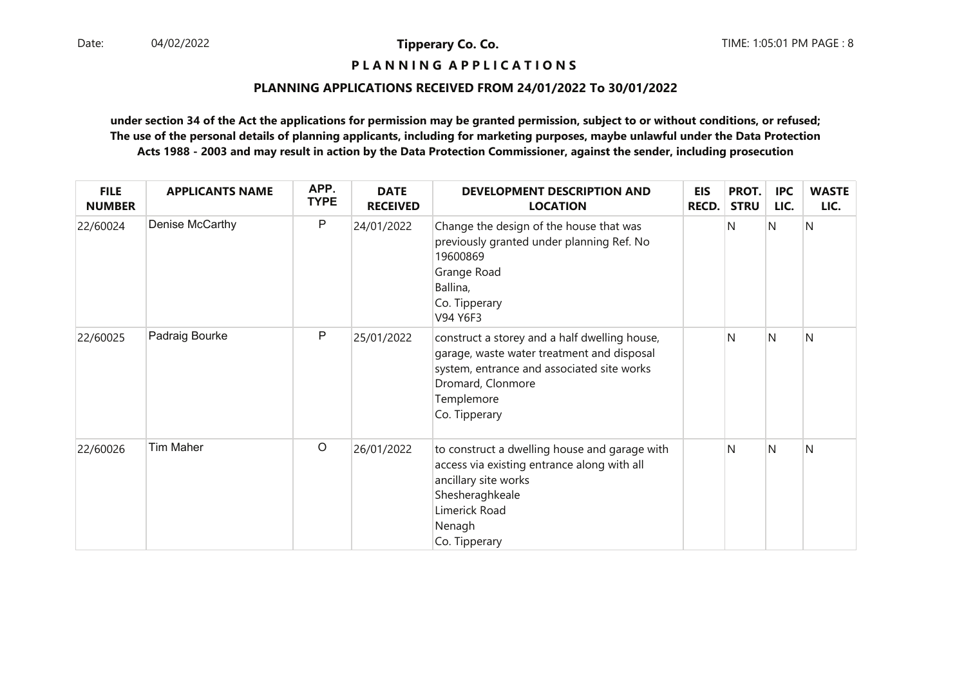# **P L A N N I N G A P P L I C A T I O N S**

## **PLANNING APPLICATIONS RECEIVED FROM 24/01/2022 To 30/01/2022**

| <b>FILE</b><br><b>NUMBER</b> | <b>APPLICANTS NAME</b> | APP.<br><b>TYPE</b> | <b>DATE</b><br><b>RECEIVED</b> | <b>DEVELOPMENT DESCRIPTION AND</b><br><b>LOCATION</b>                                                                                                                                         | <b>EIS</b><br><b>RECD.</b> | PROT.<br><b>STRU</b> | <b>IPC</b><br>LIC. | <b>WASTE</b><br>LIC. |
|------------------------------|------------------------|---------------------|--------------------------------|-----------------------------------------------------------------------------------------------------------------------------------------------------------------------------------------------|----------------------------|----------------------|--------------------|----------------------|
| 22/60024                     | Denise McCarthy        | P                   | 24/01/2022                     | Change the design of the house that was<br>previously granted under planning Ref. No<br>19600869<br>Grange Road<br>Ballina,<br>Co. Tipperary<br>V94 Y6F3                                      |                            | N                    | N                  | N                    |
| 22/60025                     | Padraig Bourke         | P                   | 25/01/2022                     | construct a storey and a half dwelling house,<br>garage, waste water treatment and disposal<br>system, entrance and associated site works<br>Dromard, Clonmore<br>Templemore<br>Co. Tipperary |                            | N                    | N                  | N                    |
| 22/60026                     | Tim Maher              | $\circ$             | 26/01/2022                     | to construct a dwelling house and garage with<br>access via existing entrance along with all<br>ancillary site works<br>Shesheraghkeale<br>Limerick Road<br>Nenagh<br>Co. Tipperary           |                            | N                    | N                  | N                    |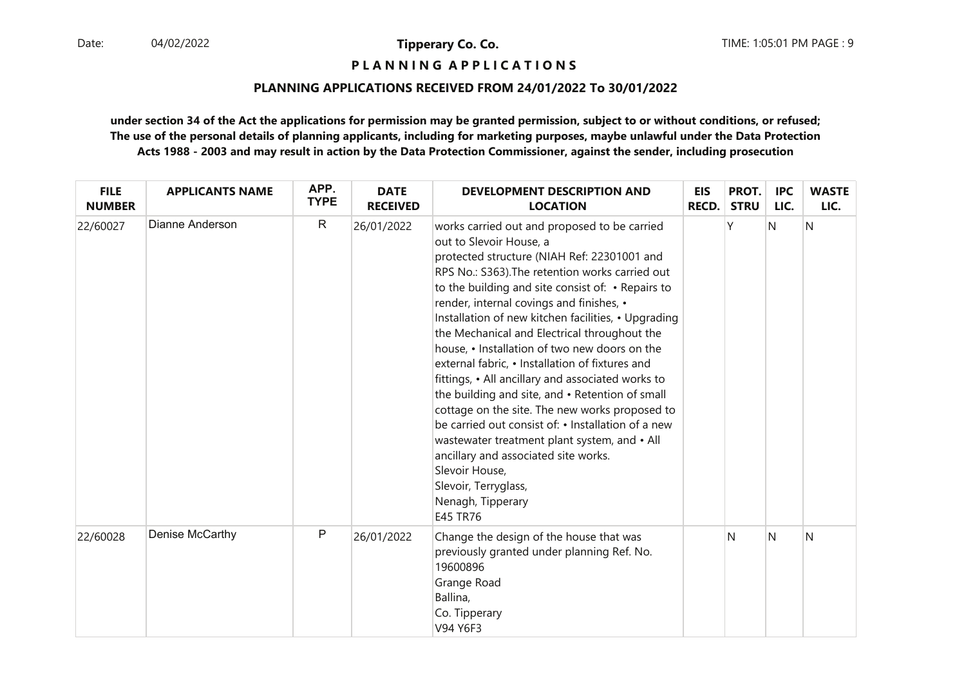**P L A N N I N G A P P L I C A T I O N S** 

## **PLANNING APPLICATIONS RECEIVED FROM 24/01/2022 To 30/01/2022**

| <b>FILE</b><br><b>NUMBER</b> | <b>APPLICANTS NAME</b> | APP.<br><b>TYPE</b> | <b>DATE</b><br><b>RECEIVED</b> | <b>DEVELOPMENT DESCRIPTION AND</b><br><b>LOCATION</b>                                                                                                                                                                                                                                                                                                                                                                                                                                                                                                                                                                                                                                                                                                                                                                                                                    | <b>EIS</b><br><b>RECD.</b> | PROT.<br><b>STRU</b> | <b>IPC</b><br>LIC. | <b>WASTE</b><br>LIC. |
|------------------------------|------------------------|---------------------|--------------------------------|--------------------------------------------------------------------------------------------------------------------------------------------------------------------------------------------------------------------------------------------------------------------------------------------------------------------------------------------------------------------------------------------------------------------------------------------------------------------------------------------------------------------------------------------------------------------------------------------------------------------------------------------------------------------------------------------------------------------------------------------------------------------------------------------------------------------------------------------------------------------------|----------------------------|----------------------|--------------------|----------------------|
| 22/60027                     | Dianne Anderson        | $\mathsf{R}$        | 26/01/2022                     | works carried out and proposed to be carried<br>out to Slevoir House, a<br>protected structure (NIAH Ref: 22301001 and<br>RPS No.: S363). The retention works carried out<br>to the building and site consist of: • Repairs to<br>render, internal covings and finishes, •<br>Installation of new kitchen facilities, • Upgrading<br>the Mechanical and Electrical throughout the<br>house, • Installation of two new doors on the<br>external fabric, • Installation of fixtures and<br>fittings, • All ancillary and associated works to<br>the building and site, and • Retention of small<br>cottage on the site. The new works proposed to<br>be carried out consist of: • Installation of a new<br>wastewater treatment plant system, and • All<br>ancillary and associated site works.<br>Slevoir House,<br>Slevoir, Terryglass,<br>Nenagh, Tipperary<br>E45 TR76 |                            | γ                    | N                  | $\overline{N}$       |
| 22/60028                     | Denise McCarthy        | P                   | 26/01/2022                     | Change the design of the house that was<br>previously granted under planning Ref. No.<br>19600896<br>Grange Road<br>Ballina,<br>Co. Tipperary<br>V94 Y6F3                                                                                                                                                                                                                                                                                                                                                                                                                                                                                                                                                                                                                                                                                                                |                            | N                    | N                  | N                    |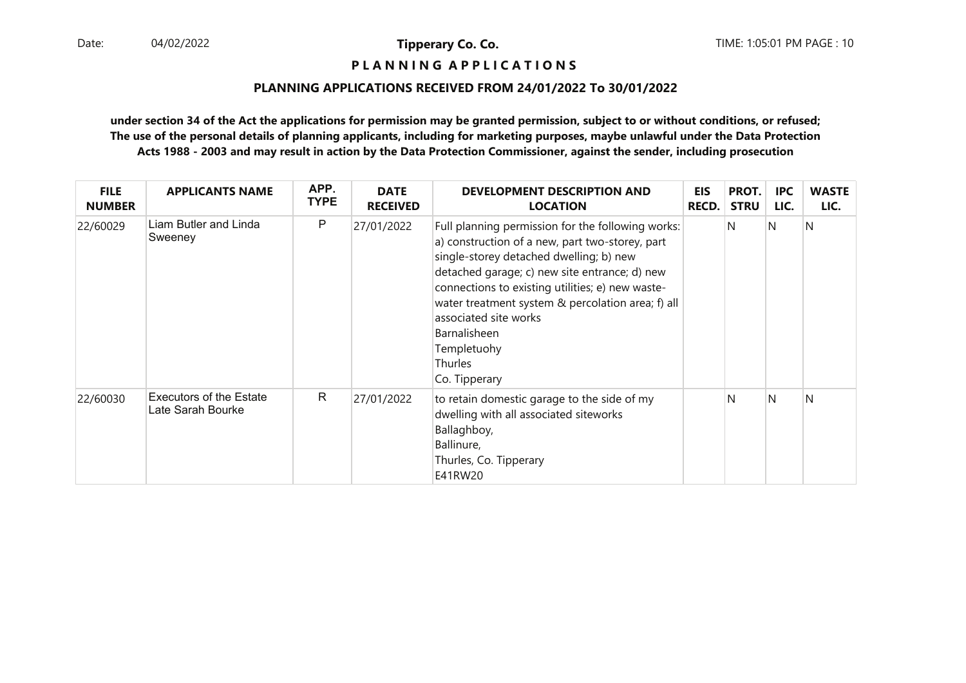# **P L A N N I N G A P P L I C A T I O N S**

## **PLANNING APPLICATIONS RECEIVED FROM 24/01/2022 To 30/01/2022**

| <b>FILE</b><br><b>NUMBER</b> | <b>APPLICANTS NAME</b>                              | APP.<br><b>TYPE</b> | <b>DATE</b><br><b>RECEIVED</b> | <b>DEVELOPMENT DESCRIPTION AND</b><br><b>LOCATION</b>                                                                                                                                                                                                                                                                                                                                                | <b>EIS</b><br><b>RECD.</b> | PROT.<br><b>STRU</b> | <b>IPC</b><br>LIC. | <b>WASTE</b><br>LIC. |
|------------------------------|-----------------------------------------------------|---------------------|--------------------------------|------------------------------------------------------------------------------------------------------------------------------------------------------------------------------------------------------------------------------------------------------------------------------------------------------------------------------------------------------------------------------------------------------|----------------------------|----------------------|--------------------|----------------------|
| 22/60029                     | Liam Butler and Linda<br>Sweeney                    | P                   | 27/01/2022                     | Full planning permission for the following works:<br>a) construction of a new, part two-storey, part<br>single-storey detached dwelling; b) new<br>detached garage; c) new site entrance; d) new<br>connections to existing utilities; e) new waste-<br>water treatment system & percolation area; f) all<br>associated site works<br>Barnalisheen<br>Templetuohy<br><b>Thurles</b><br>Co. Tipperary |                            | N                    | N                  | N                    |
| 22/60030                     | <b>Executors of the Estate</b><br>Late Sarah Bourke | R.                  | 27/01/2022                     | to retain domestic garage to the side of my<br>dwelling with all associated siteworks<br>Ballaghboy,<br>Ballinure,<br>Thurles, Co. Tipperary<br>E41RW20                                                                                                                                                                                                                                              |                            | N                    | N                  | N                    |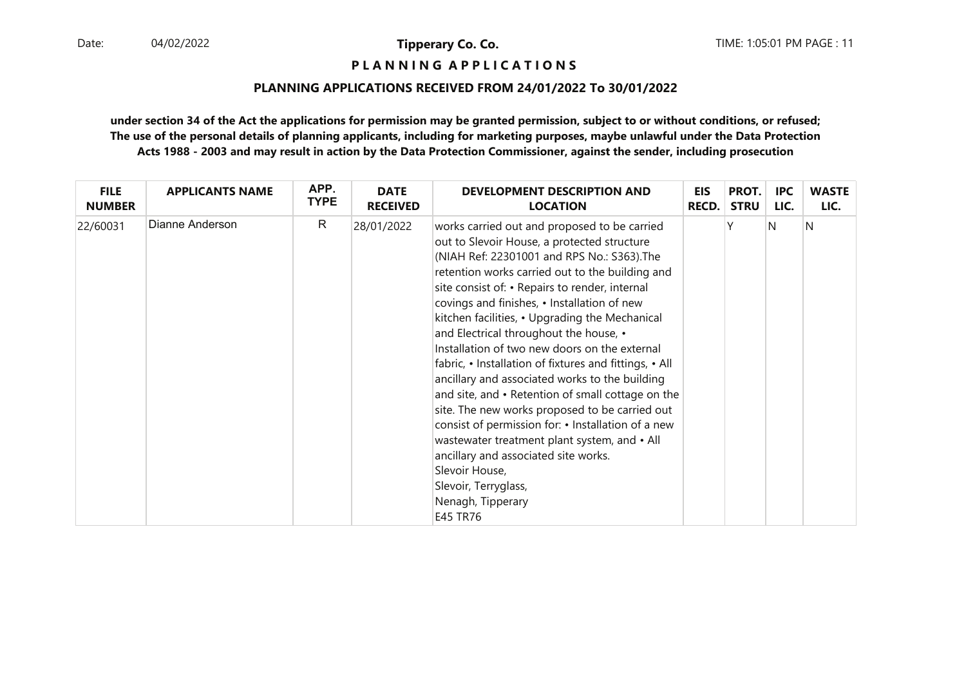**P L A N N I N G A P P L I C A T I O N S** 

## **PLANNING APPLICATIONS RECEIVED FROM 24/01/2022 To 30/01/2022**

| <b>FILE</b>   | <b>APPLICANTS NAME</b> | APP.         | <b>DATE</b>     | <b>DEVELOPMENT DESCRIPTION AND</b>                                                                                                                                                                                                                                                                                                                                                                                                                                                                                                                                                                                                                                                                                                                                                                                                                                                      | <b>EIS</b>   | PROT.       | <b>IPC</b> | <b>WASTE</b> |
|---------------|------------------------|--------------|-----------------|-----------------------------------------------------------------------------------------------------------------------------------------------------------------------------------------------------------------------------------------------------------------------------------------------------------------------------------------------------------------------------------------------------------------------------------------------------------------------------------------------------------------------------------------------------------------------------------------------------------------------------------------------------------------------------------------------------------------------------------------------------------------------------------------------------------------------------------------------------------------------------------------|--------------|-------------|------------|--------------|
| <b>NUMBER</b> |                        | <b>TYPE</b>  | <b>RECEIVED</b> | <b>LOCATION</b>                                                                                                                                                                                                                                                                                                                                                                                                                                                                                                                                                                                                                                                                                                                                                                                                                                                                         | <b>RECD.</b> | <b>STRU</b> | LIC.       | LIC.         |
| 22/60031      | Dianne Anderson        | $\mathsf{R}$ | 28/01/2022      | works carried out and proposed to be carried<br>out to Slevoir House, a protected structure<br>(NIAH Ref: 22301001 and RPS No.: S363). The<br>retention works carried out to the building and<br>site consist of: • Repairs to render, internal<br>covings and finishes, • Installation of new<br>kitchen facilities, • Upgrading the Mechanical<br>and Electrical throughout the house, •<br>Installation of two new doors on the external<br>fabric, • Installation of fixtures and fittings, • All<br>ancillary and associated works to the building<br>and site, and • Retention of small cottage on the<br>site. The new works proposed to be carried out<br>consist of permission for: • Installation of a new<br>wastewater treatment plant system, and • All<br>ancillary and associated site works.<br>Slevoir House,<br>Slevoir, Terryglass,<br>Nenagh, Tipperary<br>E45 TR76 |              |             | N          | N            |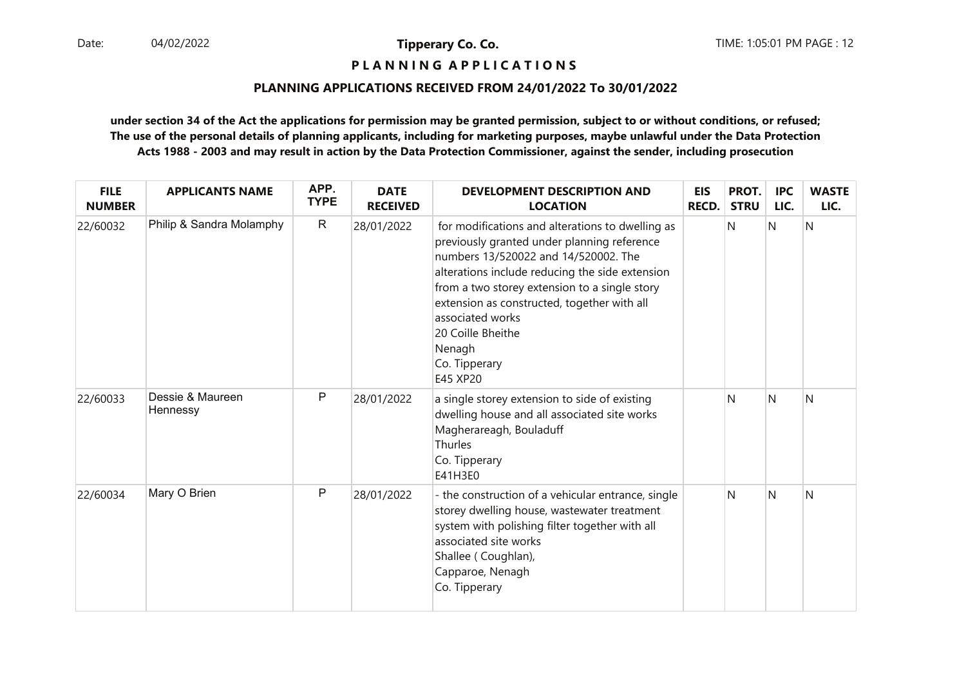# **P L A N N I N G A P P L I C A T I O N S**

## **PLANNING APPLICATIONS RECEIVED FROM 24/01/2022 To 30/01/2022**

| <b>FILE</b><br><b>NUMBER</b> | <b>APPLICANTS NAME</b>       | APP.<br><b>TYPE</b> | <b>DATE</b><br><b>RECEIVED</b> | <b>DEVELOPMENT DESCRIPTION AND</b><br><b>LOCATION</b>                                                                                                                                                                                                                                                                                                                      | <b>EIS</b><br>RECD. | PROT.<br><b>STRU</b> | <b>IPC</b><br>LIC. | <b>WASTE</b><br>LIC. |
|------------------------------|------------------------------|---------------------|--------------------------------|----------------------------------------------------------------------------------------------------------------------------------------------------------------------------------------------------------------------------------------------------------------------------------------------------------------------------------------------------------------------------|---------------------|----------------------|--------------------|----------------------|
| 22/60032                     | Philip & Sandra Molamphy     | $\mathsf{R}$        | 28/01/2022                     | for modifications and alterations to dwelling as<br>previously granted under planning reference<br>numbers 13/520022 and 14/520002. The<br>alterations include reducing the side extension<br>from a two storey extension to a single story<br>extension as constructed, together with all<br>associated works<br>20 Coille Bheithe<br>Nenagh<br>Co. Tipperary<br>E45 XP20 |                     | N                    | N                  | Ν                    |
| 22/60033                     | Dessie & Maureen<br>Hennessy | P                   | 28/01/2022                     | a single storey extension to side of existing<br>dwelling house and all associated site works<br>Magherareagh, Bouladuff<br>Thurles<br>Co. Tipperary<br>E41H3E0                                                                                                                                                                                                            |                     | N                    | N                  | Ν                    |
| 22/60034                     | Mary O Brien                 | P                   | 28/01/2022                     | - the construction of a vehicular entrance, single<br>storey dwelling house, wastewater treatment<br>system with polishing filter together with all<br>associated site works<br>Shallee (Coughlan),<br>Capparoe, Nenagh<br>Co. Tipperary                                                                                                                                   |                     | N                    | N                  | N                    |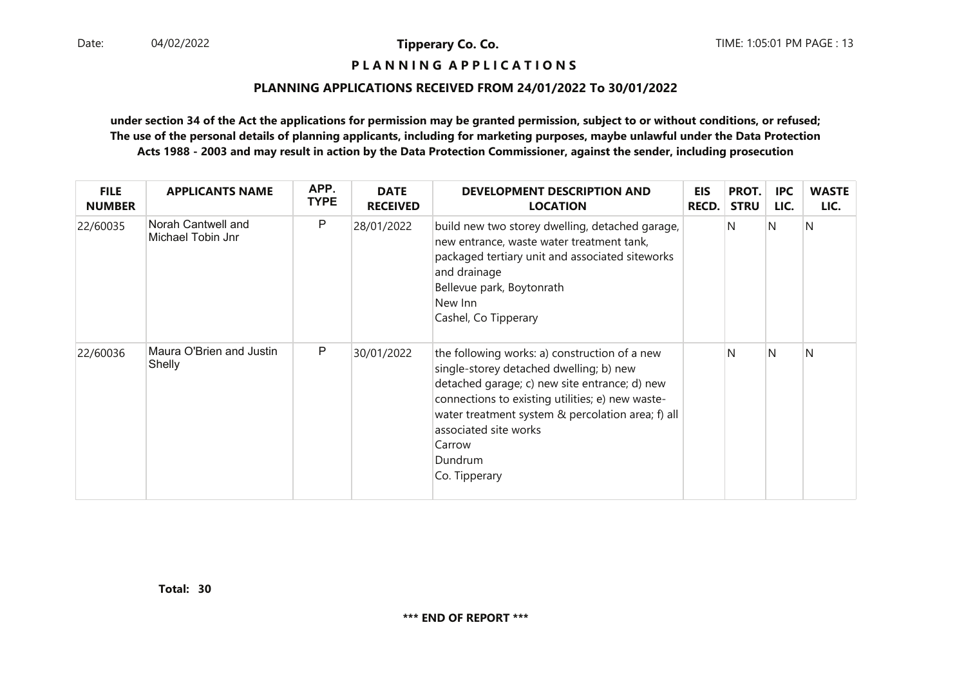## **P L A N N I N G A P P L I C A T I O N S**

#### **PLANNING APPLICATIONS RECEIVED FROM 24/01/2022 To 30/01/2022**

| <b>FILE</b><br><b>NUMBER</b> | <b>APPLICANTS NAME</b>                  | APP.<br><b>TYPE</b> | <b>DATE</b><br><b>RECEIVED</b> | DEVELOPMENT DESCRIPTION AND<br><b>LOCATION</b>                                                                                                                                                                                                                                                                    | <b>EIS</b><br><b>RECD.</b> | PROT.<br><b>STRU</b> | <b>IPC</b><br>LIC. | <b>WASTE</b><br>LIC. |
|------------------------------|-----------------------------------------|---------------------|--------------------------------|-------------------------------------------------------------------------------------------------------------------------------------------------------------------------------------------------------------------------------------------------------------------------------------------------------------------|----------------------------|----------------------|--------------------|----------------------|
| 22/60035                     | Norah Cantwell and<br>Michael Tobin Jnr | P                   | 28/01/2022                     | build new two storey dwelling, detached garage,<br>new entrance, waste water treatment tank,<br>packaged tertiary unit and associated siteworks<br>and drainage<br>Bellevue park, Boytonrath<br>New Inn<br>Cashel, Co Tipperary                                                                                   |                            | N                    | IN                 | N                    |
| 22/60036                     | Maura O'Brien and Justin<br>Shelly      | P                   | 30/01/2022                     | the following works: a) construction of a new<br>single-storey detached dwelling; b) new<br>detached garage; c) new site entrance; d) new<br>connections to existing utilities; e) new waste-<br>water treatment system & percolation area; f) all<br>associated site works<br>Carrow<br>Dundrum<br>Co. Tipperary |                            | N                    | IN.                | N                    |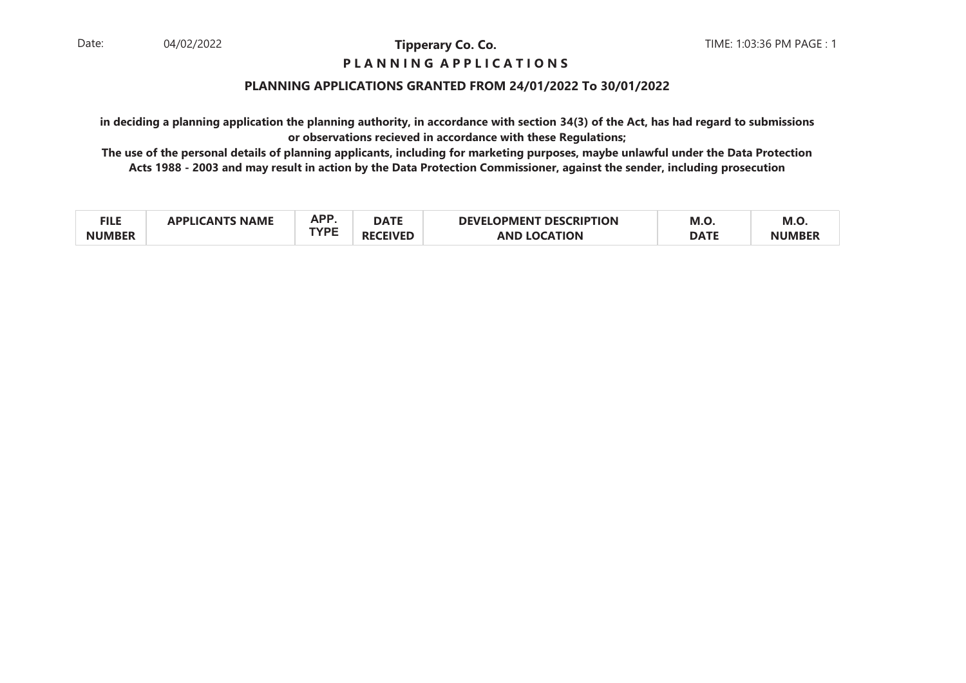## **P L A N N I N G A P P L I C A T I O N S**

## **PLANNING APPLICATIONS GRANTED FROM 24/01/2022 To 30/01/2022**

**in deciding a planning application the planning authority, in accordance with section 34(3) of the Act, has had regard to submissionsor observations recieved in accordance with these Regulations;**

| <b>FILE</b>   | <b>NAME</b><br>'AN | <b>ADD</b>  | <b>DATE</b> | <b>_OPMENT DESCRIPTION</b><br><b>DEVEL</b> | M.O         | M.C. |
|---------------|--------------------|-------------|-------------|--------------------------------------------|-------------|------|
| <b>NUMRFR</b> |                    | <b>TVDF</b> | "IVER       | AND<br>ОN                                  | <b>DATE</b> |      |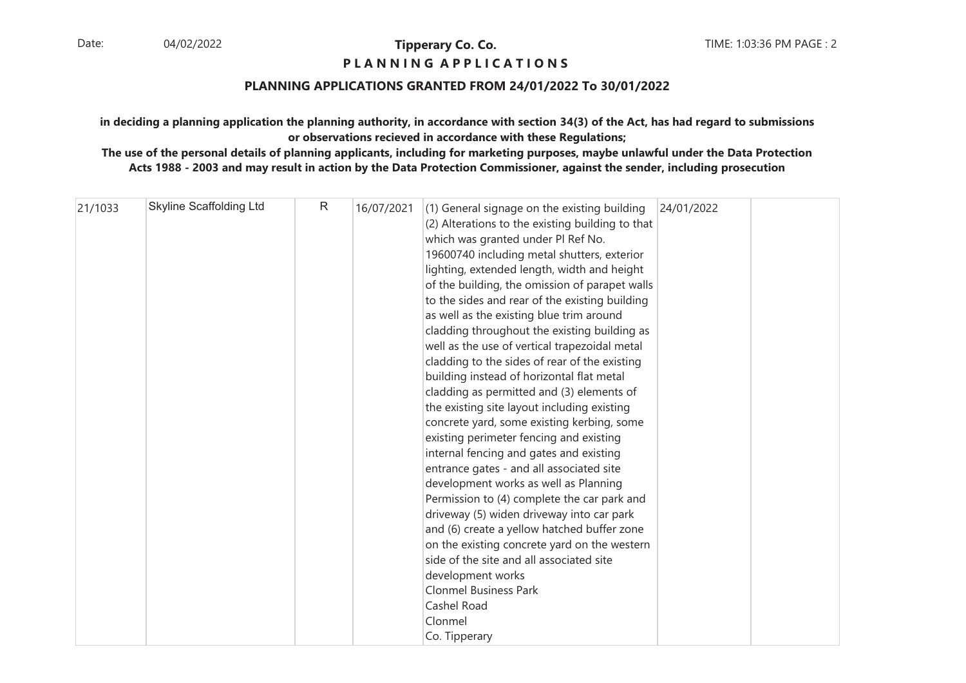## **P L A N N I N G A P P L I C A T I O N S**

## **PLANNING APPLICATIONS GRANTED FROM 24/01/2022 To 30/01/2022**

## **in deciding a planning application the planning authority, in accordance with section 34(3) of the Act, has had regard to submissionsor observations recieved in accordance with these Regulations;**

| 21/1033 | <b>Skyline Scaffolding Ltd</b> | R | 16/07/2021 | (1) General signage on the existing building<br>(2) Alterations to the existing building to that<br>which was granted under Pl Ref No.<br>19600740 including metal shutters, exterior<br>lighting, extended length, width and height<br>of the building, the omission of parapet walls<br>to the sides and rear of the existing building<br>as well as the existing blue trim around<br>cladding throughout the existing building as<br>well as the use of vertical trapezoidal metal<br>cladding to the sides of rear of the existing<br>building instead of horizontal flat metal<br>cladding as permitted and (3) elements of | 24/01/2022 |  |
|---------|--------------------------------|---|------------|----------------------------------------------------------------------------------------------------------------------------------------------------------------------------------------------------------------------------------------------------------------------------------------------------------------------------------------------------------------------------------------------------------------------------------------------------------------------------------------------------------------------------------------------------------------------------------------------------------------------------------|------------|--|
|         |                                |   |            | the existing site layout including existing<br>concrete yard, some existing kerbing, some<br>existing perimeter fencing and existing<br>internal fencing and gates and existing<br>entrance gates - and all associated site<br>development works as well as Planning<br>Permission to (4) complete the car park and<br>driveway (5) widen driveway into car park<br>and (6) create a yellow hatched buffer zone<br>on the existing concrete yard on the western<br>side of the site and all associated site<br>development works<br><b>Clonmel Business Park</b><br>Cashel Road                                                  |            |  |
|         |                                |   |            | Clonmel<br>Co. Tipperary                                                                                                                                                                                                                                                                                                                                                                                                                                                                                                                                                                                                         |            |  |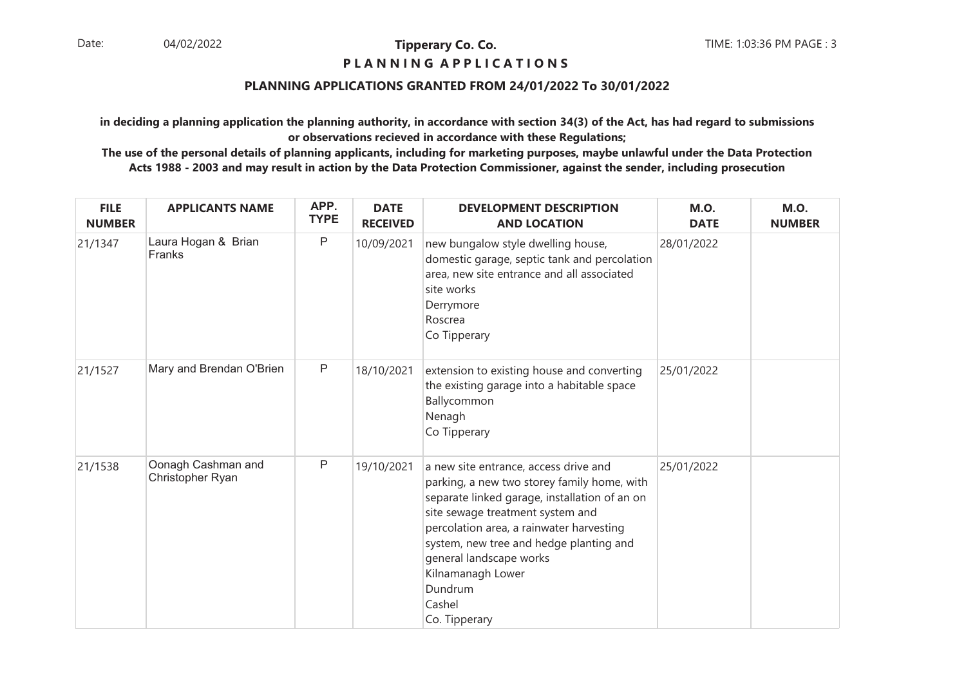## **P L A N N I N G A P P L I C A T I O N S**

## **PLANNING APPLICATIONS GRANTED FROM 24/01/2022 To 30/01/2022**

**in deciding a planning application the planning authority, in accordance with section 34(3) of the Act, has had regard to submissionsor observations recieved in accordance with these Regulations;**

| <b>FILE</b><br><b>NUMBER</b> | <b>APPLICANTS NAME</b>                 | APP.<br><b>TYPE</b> | <b>DATE</b><br><b>RECEIVED</b> | <b>DEVELOPMENT DESCRIPTION</b><br><b>AND LOCATION</b>                                                                                                                                                                                                                                                                                                  | <b>M.O.</b><br><b>DATE</b> | <b>M.O.</b><br><b>NUMBER</b> |
|------------------------------|----------------------------------------|---------------------|--------------------------------|--------------------------------------------------------------------------------------------------------------------------------------------------------------------------------------------------------------------------------------------------------------------------------------------------------------------------------------------------------|----------------------------|------------------------------|
| 21/1347                      | Laura Hogan & Brian<br>Franks          | P                   | 10/09/2021                     | new bungalow style dwelling house,<br>domestic garage, septic tank and percolation<br>area, new site entrance and all associated<br>site works<br>Derrymore<br>Roscrea<br>Co Tipperary                                                                                                                                                                 | 28/01/2022                 |                              |
| 21/1527                      | Mary and Brendan O'Brien               | $\mathsf{P}$        | 18/10/2021                     | extension to existing house and converting<br>the existing garage into a habitable space<br>Ballycommon<br>Nenagh<br>Co Tipperary                                                                                                                                                                                                                      | 25/01/2022                 |                              |
| 21/1538                      | Oonagh Cashman and<br>Christopher Ryan | P                   | 19/10/2021                     | a new site entrance, access drive and<br>parking, a new two storey family home, with<br>separate linked garage, installation of an on<br>site sewage treatment system and<br>percolation area, a rainwater harvesting<br>system, new tree and hedge planting and<br>general landscape works<br>Kilnamanagh Lower<br>Dundrum<br>Cashel<br>Co. Tipperary | 25/01/2022                 |                              |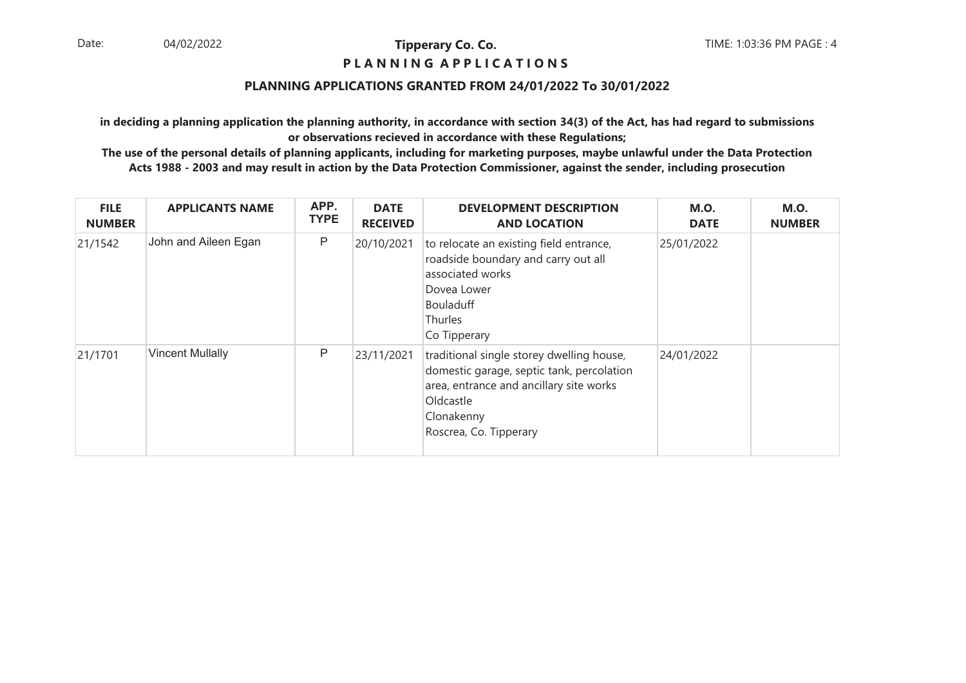## **P L A N N I N G A P P L I C A T I O N S**

## **PLANNING APPLICATIONS GRANTED FROM 24/01/2022 To 30/01/2022**

**in deciding a planning application the planning authority, in accordance with section 34(3) of the Act, has had regard to submissionsor observations recieved in accordance with these Regulations;**

| <b>FILE</b><br><b>NUMBER</b> | <b>APPLICANTS NAME</b>  | APP.<br><b>TYPE</b> | <b>DATE</b><br><b>RECEIVED</b> | <b>DEVELOPMENT DESCRIPTION</b><br><b>AND LOCATION</b>                                                                                                                                  | <b>M.O.</b><br><b>DATE</b> | <b>M.O.</b><br><b>NUMBER</b> |
|------------------------------|-------------------------|---------------------|--------------------------------|----------------------------------------------------------------------------------------------------------------------------------------------------------------------------------------|----------------------------|------------------------------|
| 21/1542                      | John and Aileen Egan    | P                   | 20/10/2021                     | to relocate an existing field entrance,<br>roadside boundary and carry out all<br>associated works<br>Dovea Lower<br>Bouladuff<br>Thurles<br>Co Tipperary                              | 25/01/2022                 |                              |
| 21/1701                      | <b>Vincent Mullally</b> | P                   | 23/11/2021                     | traditional single storey dwelling house,<br>domestic garage, septic tank, percolation<br>area, entrance and ancillary site works<br>Oldcastle<br>Clonakenny<br>Roscrea, Co. Tipperary | 24/01/2022                 |                              |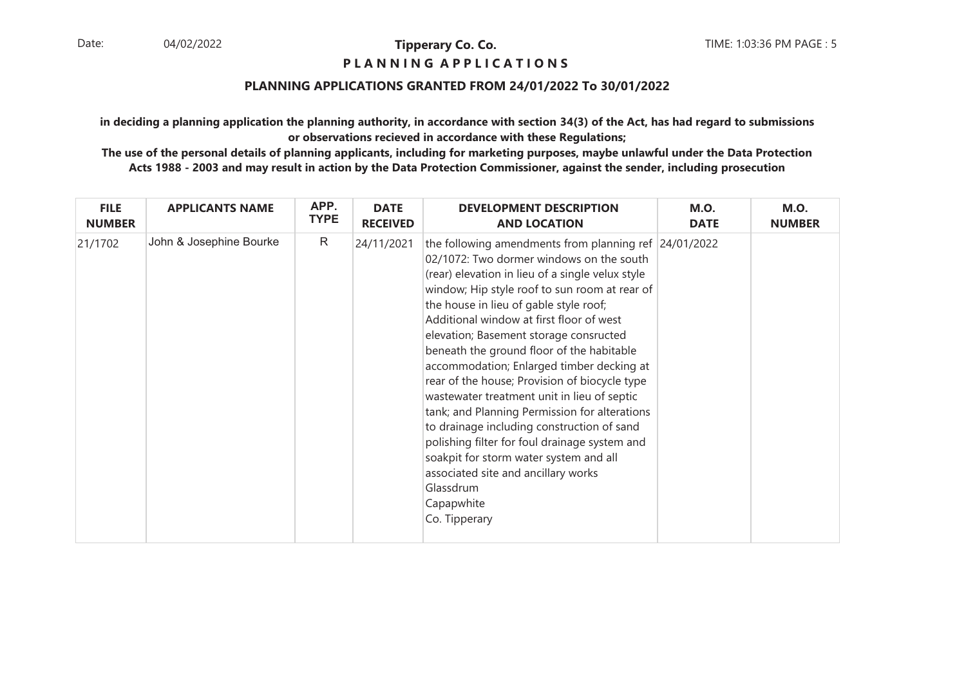## **P L A N N I N G A P P L I C A T I O N S**

## **PLANNING APPLICATIONS GRANTED FROM 24/01/2022 To 30/01/2022**

**in deciding a planning application the planning authority, in accordance with section 34(3) of the Act, has had regard to submissionsor observations recieved in accordance with these Regulations;**

| <b>FILE</b>   | <b>APPLICANTS NAME</b>  | APP.        | <b>DATE</b>     | <b>DEVELOPMENT DESCRIPTION</b>                                                                                                                                                                                                                                                                                                                                                                                                                                                                                                                                                                                                                                                                                                                                                                                   | <b>M.O.</b> | <b>M.O.</b>   |
|---------------|-------------------------|-------------|-----------------|------------------------------------------------------------------------------------------------------------------------------------------------------------------------------------------------------------------------------------------------------------------------------------------------------------------------------------------------------------------------------------------------------------------------------------------------------------------------------------------------------------------------------------------------------------------------------------------------------------------------------------------------------------------------------------------------------------------------------------------------------------------------------------------------------------------|-------------|---------------|
| <b>NUMBER</b> |                         | <b>TYPE</b> | <b>RECEIVED</b> | <b>AND LOCATION</b>                                                                                                                                                                                                                                                                                                                                                                                                                                                                                                                                                                                                                                                                                                                                                                                              | <b>DATE</b> | <b>NUMBER</b> |
| 21/1702       | John & Josephine Bourke | R           | 24/11/2021      | the following amendments from planning ref $ 24/01/2022$<br>02/1072: Two dormer windows on the south<br>(rear) elevation in lieu of a single velux style<br>window; Hip style roof to sun room at rear of<br>the house in lieu of gable style roof;<br>Additional window at first floor of west<br>elevation; Basement storage consructed<br>beneath the ground floor of the habitable<br>accommodation; Enlarged timber decking at<br>rear of the house; Provision of biocycle type<br>wastewater treatment unit in lieu of septic<br>tank; and Planning Permission for alterations<br>to drainage including construction of sand<br>polishing filter for foul drainage system and<br>soakpit for storm water system and all<br>associated site and ancillary works<br>Glassdrum<br>Capapwhite<br>Co. Tipperary |             |               |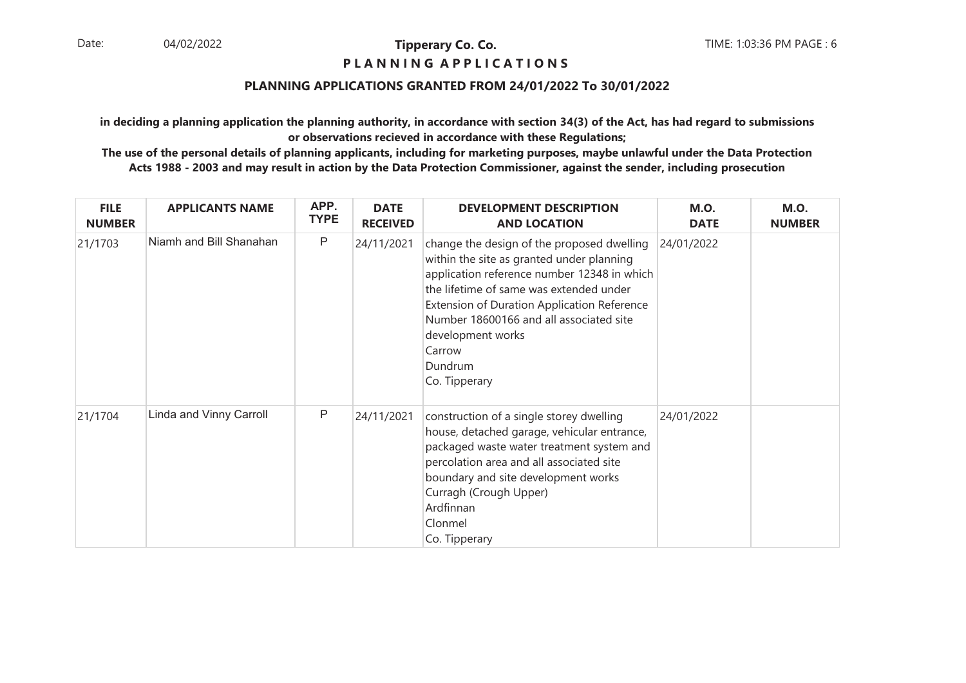## **P L A N N I N G A P P L I C A T I O N S**

## **PLANNING APPLICATIONS GRANTED FROM 24/01/2022 To 30/01/2022**

**in deciding a planning application the planning authority, in accordance with section 34(3) of the Act, has had regard to submissionsor observations recieved in accordance with these Regulations;**

| <b>FILE</b><br><b>NUMBER</b> | <b>APPLICANTS NAME</b>  | APP.<br><b>TYPE</b> | <b>DATE</b><br><b>RECEIVED</b> | <b>DEVELOPMENT DESCRIPTION</b><br><b>AND LOCATION</b>                                                                                                                                                                                                                                                                                         | <b>M.O.</b><br><b>DATE</b> | <b>M.O.</b><br><b>NUMBER</b> |
|------------------------------|-------------------------|---------------------|--------------------------------|-----------------------------------------------------------------------------------------------------------------------------------------------------------------------------------------------------------------------------------------------------------------------------------------------------------------------------------------------|----------------------------|------------------------------|
| 21/1703                      | Niamh and Bill Shanahan | P                   | 24/11/2021                     | change the design of the proposed dwelling<br>within the site as granted under planning<br>application reference number 12348 in which<br>the lifetime of same was extended under<br><b>Extension of Duration Application Reference</b><br>Number 18600166 and all associated site<br>development works<br>Carrow<br>Dundrum<br>Co. Tipperary | 24/01/2022                 |                              |
| 21/1704                      | Linda and Vinny Carroll | P                   | 24/11/2021                     | construction of a single storey dwelling<br>house, detached garage, vehicular entrance,<br>packaged waste water treatment system and<br>percolation area and all associated site<br>boundary and site development works<br>Curragh (Crough Upper)<br>Ardfinnan<br>Clonmel<br>Co. Tipperary                                                    | 24/01/2022                 |                              |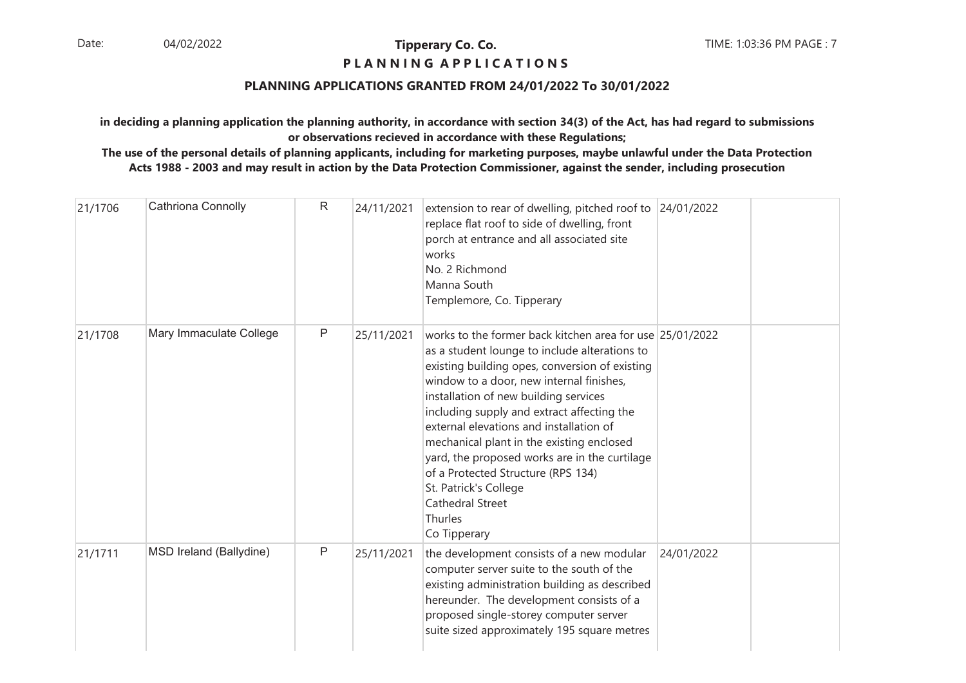## **P L A N N I N G A P P L I C A T I O N S**

## **PLANNING APPLICATIONS GRANTED FROM 24/01/2022 To 30/01/2022**

**in deciding a planning application the planning authority, in accordance with section 34(3) of the Act, has had regard to submissionsor observations recieved in accordance with these Regulations;**

| 21/1706 | Cathriona Connolly      | $\mathsf{R}$ | 24/11/2021 | extension to rear of dwelling, pitched roof to 24/01/2022<br>replace flat roof to side of dwelling, front<br>porch at entrance and all associated site<br>works<br>No. 2 Richmond<br>Manna South<br>Templemore, Co. Tipperary                                                                                                                                                                                                                                                                                                                                |            |  |
|---------|-------------------------|--------------|------------|--------------------------------------------------------------------------------------------------------------------------------------------------------------------------------------------------------------------------------------------------------------------------------------------------------------------------------------------------------------------------------------------------------------------------------------------------------------------------------------------------------------------------------------------------------------|------------|--|
| 21/1708 | Mary Immaculate College | $\mathsf{P}$ | 25/11/2021 | works to the former back kitchen area for use 25/01/2022<br>as a student lounge to include alterations to<br>existing building opes, conversion of existing<br>window to a door, new internal finishes,<br>installation of new building services<br>including supply and extract affecting the<br>external elevations and installation of<br>mechanical plant in the existing enclosed<br>yard, the proposed works are in the curtilage<br>of a Protected Structure (RPS 134)<br>St. Patrick's College<br><b>Cathedral Street</b><br>Thurles<br>Co Tipperary |            |  |
| 21/1711 | MSD Ireland (Ballydine) | $\mathsf{P}$ | 25/11/2021 | the development consists of a new modular<br>computer server suite to the south of the<br>existing administration building as described<br>hereunder. The development consists of a<br>proposed single-storey computer server<br>suite sized approximately 195 square metres                                                                                                                                                                                                                                                                                 | 24/01/2022 |  |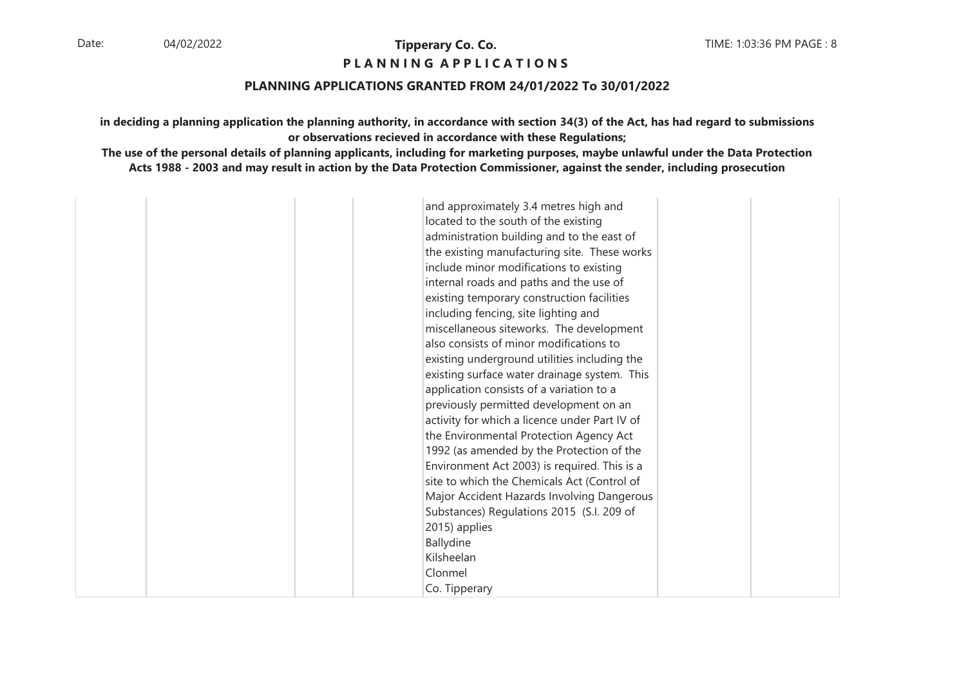## **P L A N N I N G A P P L I C A T I O N S**

#### **PLANNING APPLICATIONS GRANTED FROM 24/01/2022 To 30/01/2022**

**in deciding a planning application the planning authority, in accordance with section 34(3) of the Act, has had regard to submissionsor observations recieved in accordance with these Regulations;**

**The use of the personal details of planning applicants, including for marketing purposes, maybe unlawful under the Data ProtectionActs 1988 - 2003 and may result in action by the Data Protection Commissioner, against the sender, including prosecution**

and approximately 3.4 metres high and located to the south of the existing administration building and to the east of the existing manufacturing site. These works include minor modifications to existing internal roads and paths and the use of existing temporary construction facilities including fencing, site lighting and miscellaneous siteworks. The development also consists of minor modifications to existing underground utilities including the existing surface water drainage system. This application consists of a variation to a previously permitted development on an activity for which a licence under Part IV of the Environmental Protection Agency Act 1992 (as amended by the Protection of the Environment Act 2003) is required. This is a site to which the Chemicals Act (Control of Major Accident Hazards Involving Dangerous Substances) Regulations 2015 (S.I. 209 of 2015) appliesBallydine KilsheelanClonmelCo. Tipperary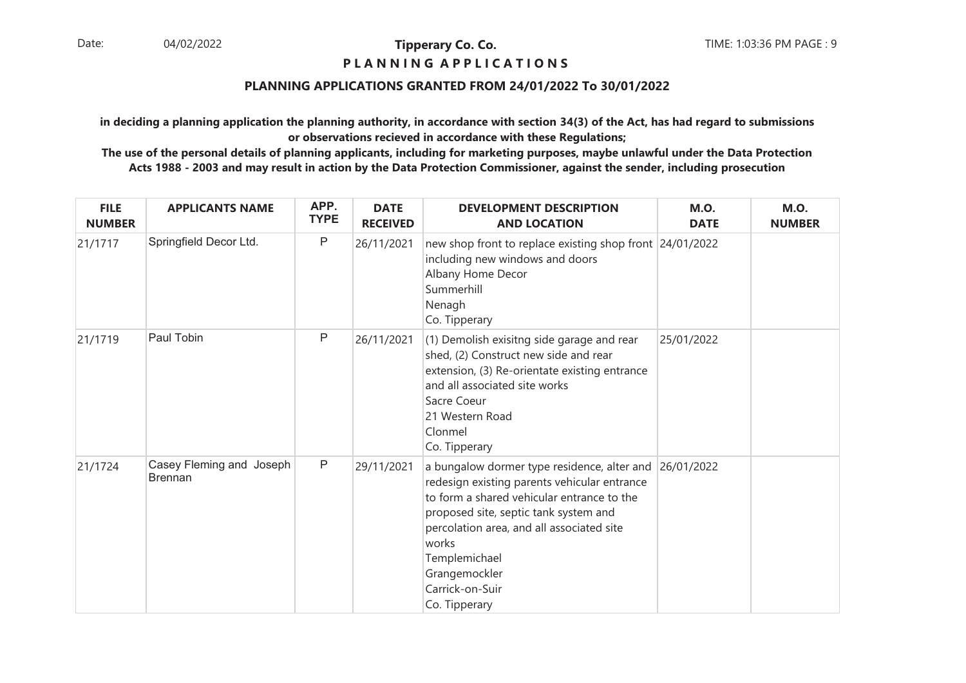## **P L A N N I N G A P P L I C A T I O N S**

## **PLANNING APPLICATIONS GRANTED FROM 24/01/2022 To 30/01/2022**

**in deciding a planning application the planning authority, in accordance with section 34(3) of the Act, has had regard to submissionsor observations recieved in accordance with these Regulations;**

| <b>FILE</b><br><b>NUMBER</b> | <b>APPLICANTS NAME</b>                     | APP.<br><b>TYPE</b> | <b>DATE</b><br><b>RECEIVED</b> | <b>DEVELOPMENT DESCRIPTION</b><br><b>AND LOCATION</b>                                                                                                                                                                                                                                                                     | <b>M.O.</b><br><b>DATE</b> | <b>M.O.</b><br><b>NUMBER</b> |
|------------------------------|--------------------------------------------|---------------------|--------------------------------|---------------------------------------------------------------------------------------------------------------------------------------------------------------------------------------------------------------------------------------------------------------------------------------------------------------------------|----------------------------|------------------------------|
| 21/1717                      | Springfield Decor Ltd.                     | ${\sf P}$           | 26/11/2021                     | new shop front to replace existing shop front 24/01/2022<br>including new windows and doors<br>Albany Home Decor<br>Summerhill<br>Nenagh<br>Co. Tipperary                                                                                                                                                                 |                            |                              |
| 21/1719                      | Paul Tobin                                 | P                   | 26/11/2021                     | (1) Demolish exisitng side garage and rear<br>shed, (2) Construct new side and rear<br>extension, (3) Re-orientate existing entrance<br>and all associated site works<br>Sacre Coeur<br>21 Western Road<br>Clonmel<br>Co. Tipperary                                                                                       | 25/01/2022                 |                              |
| 21/1724                      | Casey Fleming and Joseph<br><b>Brennan</b> | $\mathsf{P}$        | 29/11/2021                     | a bungalow dormer type residence, alter and 26/01/2022<br>redesign existing parents vehicular entrance<br>to form a shared vehicular entrance to the<br>proposed site, septic tank system and<br>percolation area, and all associated site<br>works<br>Templemichael<br>Grangemockler<br>Carrick-on-Suir<br>Co. Tipperary |                            |                              |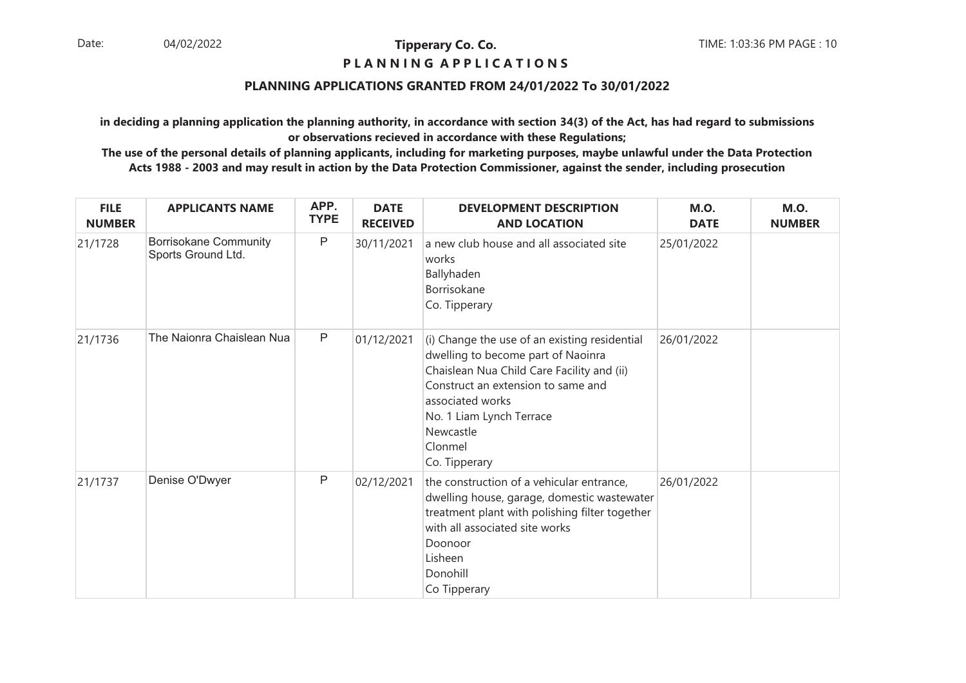## **P L A N N I N G A P P L I C A T I O N S**

## **PLANNING APPLICATIONS GRANTED FROM 24/01/2022 To 30/01/2022**

**in deciding a planning application the planning authority, in accordance with section 34(3) of the Act, has had regard to submissionsor observations recieved in accordance with these Regulations;**

| <b>FILE</b><br><b>NUMBER</b> | <b>APPLICANTS NAME</b>                             | APP.<br><b>TYPE</b> | <b>DATE</b><br><b>RECEIVED</b> | <b>DEVELOPMENT DESCRIPTION</b><br><b>AND LOCATION</b>                                                                                                                                                                                                            | <b>M.O.</b><br><b>DATE</b> | <b>M.O.</b><br><b>NUMBER</b> |
|------------------------------|----------------------------------------------------|---------------------|--------------------------------|------------------------------------------------------------------------------------------------------------------------------------------------------------------------------------------------------------------------------------------------------------------|----------------------------|------------------------------|
| 21/1728                      | <b>Borrisokane Community</b><br>Sports Ground Ltd. | P                   | 30/11/2021                     | a new club house and all associated site<br>works<br>Ballyhaden<br>Borrisokane<br>Co. Tipperary                                                                                                                                                                  | 25/01/2022                 |                              |
| 21/1736                      | The Naionra Chaislean Nua                          | $\mathsf{P}$        | 01/12/2021                     | (i) Change the use of an existing residential<br>dwelling to become part of Naoinra<br>Chaislean Nua Child Care Facility and (ii)<br>Construct an extension to same and<br>associated works<br>No. 1 Liam Lynch Terrace<br>Newcastle<br>Clonmel<br>Co. Tipperary | 26/01/2022                 |                              |
| 21/1737                      | Denise O'Dwyer                                     | P                   | 02/12/2021                     | the construction of a vehicular entrance,<br>dwelling house, garage, domestic wastewater<br>treatment plant with polishing filter together<br>with all associated site works<br>Doonoor<br>Lisheen<br>Donohill<br>Co Tipperary                                   | 26/01/2022                 |                              |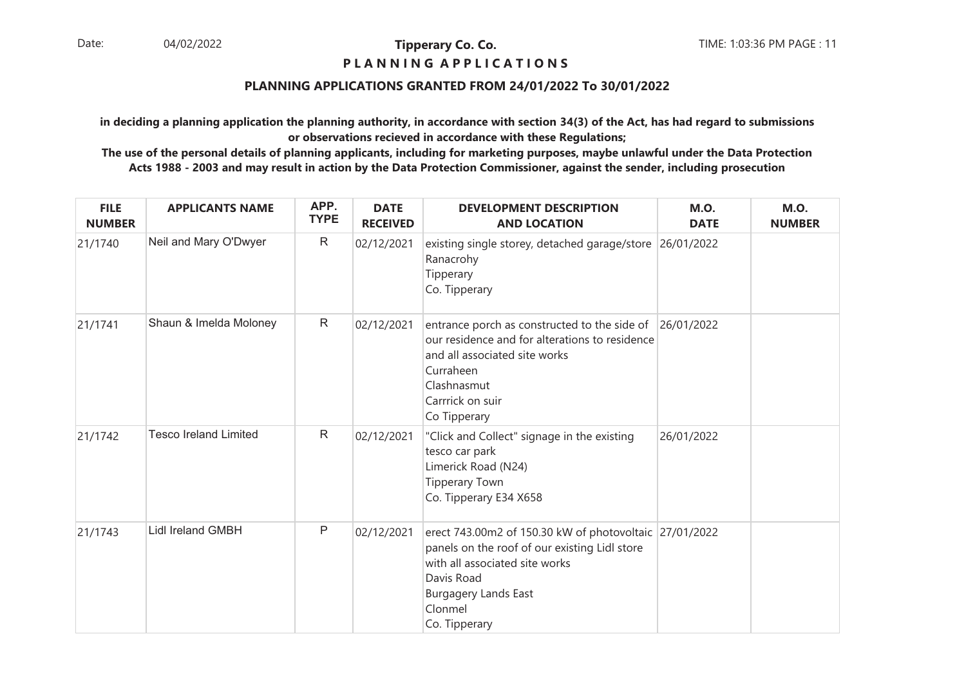## **P L A N N I N G A P P L I C A T I O N S**

## **PLANNING APPLICATIONS GRANTED FROM 24/01/2022 To 30/01/2022**

**in deciding a planning application the planning authority, in accordance with section 34(3) of the Act, has had regard to submissionsor observations recieved in accordance with these Regulations;**

| <b>FILE</b><br><b>NUMBER</b> | <b>APPLICANTS NAME</b>       | APP.<br><b>TYPE</b> | <b>DATE</b><br><b>RECEIVED</b> | <b>DEVELOPMENT DESCRIPTION</b><br><b>AND LOCATION</b>                                                                                                                                                              | <b>M.O.</b><br><b>DATE</b> | <b>M.O.</b><br><b>NUMBER</b> |
|------------------------------|------------------------------|---------------------|--------------------------------|--------------------------------------------------------------------------------------------------------------------------------------------------------------------------------------------------------------------|----------------------------|------------------------------|
| 21/1740                      | Neil and Mary O'Dwyer        | $\mathsf{R}$        | 02/12/2021                     | existing single storey, detached garage/store 26/01/2022<br>Ranacrohy<br>Tipperary<br>Co. Tipperary                                                                                                                |                            |                              |
| 21/1741                      | Shaun & Imelda Moloney       | $\mathsf{R}$        | 02/12/2021                     | entrance porch as constructed to the side of<br>our residence and for alterations to residence<br>and all associated site works<br>Curraheen<br>Clashnasmut<br>Carrrick on suir<br>Co Tipperary                    | 26/01/2022                 |                              |
| 21/1742                      | <b>Tesco Ireland Limited</b> | $\mathsf{R}$        | 02/12/2021                     | "Click and Collect" signage in the existing<br>tesco car park<br>Limerick Road (N24)<br><b>Tipperary Town</b><br>Co. Tipperary E34 X658                                                                            | 26/01/2022                 |                              |
| 21/1743                      | <b>Lidl Ireland GMBH</b>     | $\mathsf{P}$        | 02/12/2021                     | erect 743.00m2 of 150.30 kW of photovoltaic 27/01/2022<br>panels on the roof of our existing Lidl store<br>with all associated site works<br>Davis Road<br><b>Burgagery Lands East</b><br>Clonmel<br>Co. Tipperary |                            |                              |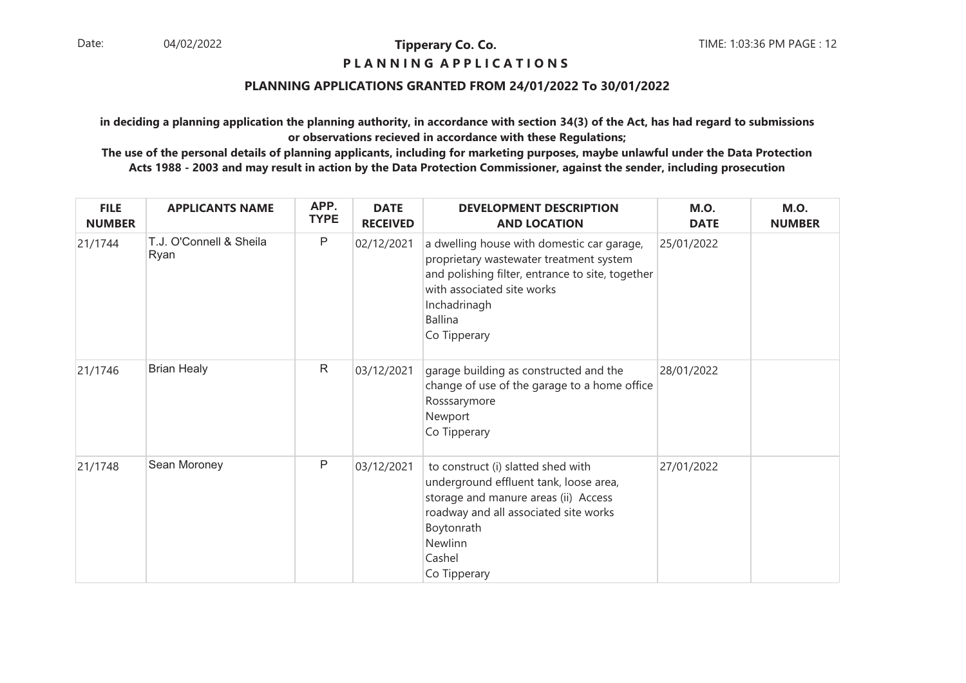## **P L A N N I N G A P P L I C A T I O N S**

## **PLANNING APPLICATIONS GRANTED FROM 24/01/2022 To 30/01/2022**

**in deciding a planning application the planning authority, in accordance with section 34(3) of the Act, has had regard to submissionsor observations recieved in accordance with these Regulations;**

| <b>FILE</b><br><b>NUMBER</b> | <b>APPLICANTS NAME</b>          | APP.<br><b>TYPE</b> | <b>DATE</b><br><b>RECEIVED</b> | <b>DEVELOPMENT DESCRIPTION</b><br><b>AND LOCATION</b>                                                                                                                                                                     | <b>M.O.</b><br><b>DATE</b> | <b>M.O.</b><br><b>NUMBER</b> |
|------------------------------|---------------------------------|---------------------|--------------------------------|---------------------------------------------------------------------------------------------------------------------------------------------------------------------------------------------------------------------------|----------------------------|------------------------------|
| 21/1744                      | T.J. O'Connell & Sheila<br>Ryan | P                   | 02/12/2021                     | a dwelling house with domestic car garage,<br>proprietary wastewater treatment system<br>and polishing filter, entrance to site, together<br>with associated site works<br>Inchadrinagh<br><b>Ballina</b><br>Co Tipperary | 25/01/2022                 |                              |
| 21/1746                      | <b>Brian Healy</b>              | R                   | 03/12/2021                     | garage building as constructed and the<br>change of use of the garage to a home office<br>Rosssarymore<br>Newport<br>Co Tipperary                                                                                         | 28/01/2022                 |                              |
| 21/1748                      | Sean Moroney                    | P                   | 03/12/2021                     | to construct (i) slatted shed with<br>underground effluent tank, loose area,<br>storage and manure areas (ii) Access<br>roadway and all associated site works<br>Boytonrath<br>Newlinn<br>Cashel<br>Co Tipperary          | 27/01/2022                 |                              |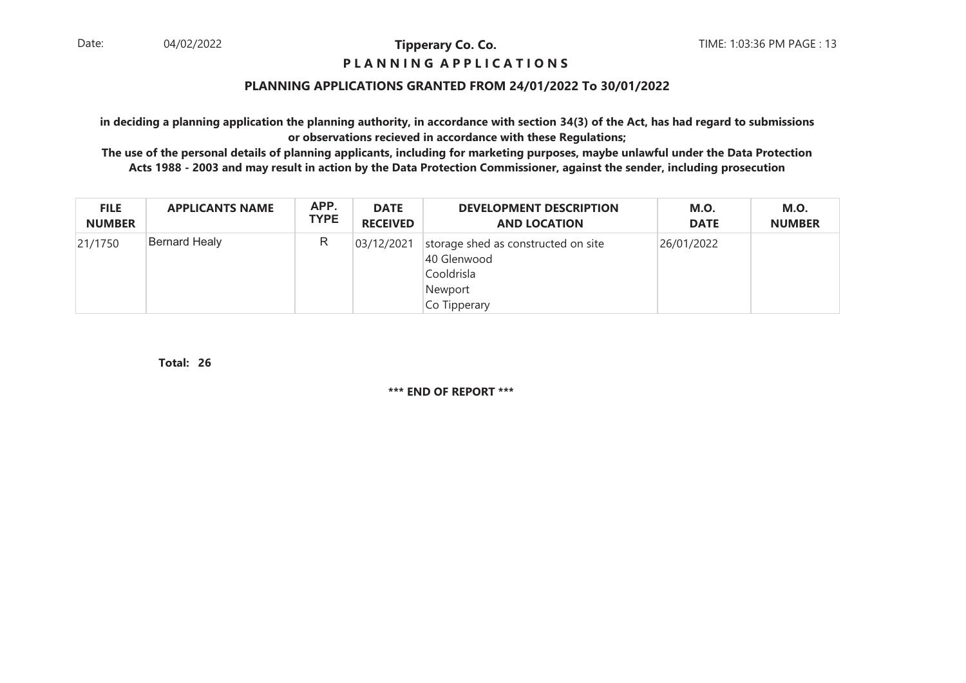## **P L A N N I N G A P P L I C A T I O N S**

## **PLANNING APPLICATIONS GRANTED FROM 24/01/2022 To 30/01/2022**

**in deciding a planning application the planning authority, in accordance with section 34(3) of the Act, has had regard to submissionsor observations recieved in accordance with these Regulations;**

 **The use of the personal details of planning applicants, including for marketing purposes, maybe unlawful under the Data ProtectionActs 1988 - 2003 and may result in action by the Data Protection Commissioner, against the sender, including prosecution**

| <b>FILE</b>   | <b>APPLICANTS NAME</b> | APP.        | <b>DATE</b>     | <b>DEVELOPMENT DESCRIPTION</b>                                                              | <b>M.O.</b> | <b>M.O.</b>   |
|---------------|------------------------|-------------|-----------------|---------------------------------------------------------------------------------------------|-------------|---------------|
| <b>NUMBER</b> |                        | <b>TYPE</b> | <b>RECEIVED</b> | <b>AND LOCATION</b>                                                                         | <b>DATE</b> | <b>NUMBER</b> |
| 21/1750       | Bernard Healy          | R           | 03/12/2021      | storage shed as constructed on site<br>40 Glenwood<br>Cooldrisla<br>Newport<br>Co Tipperary | 26/01/2022  |               |

**26Total:**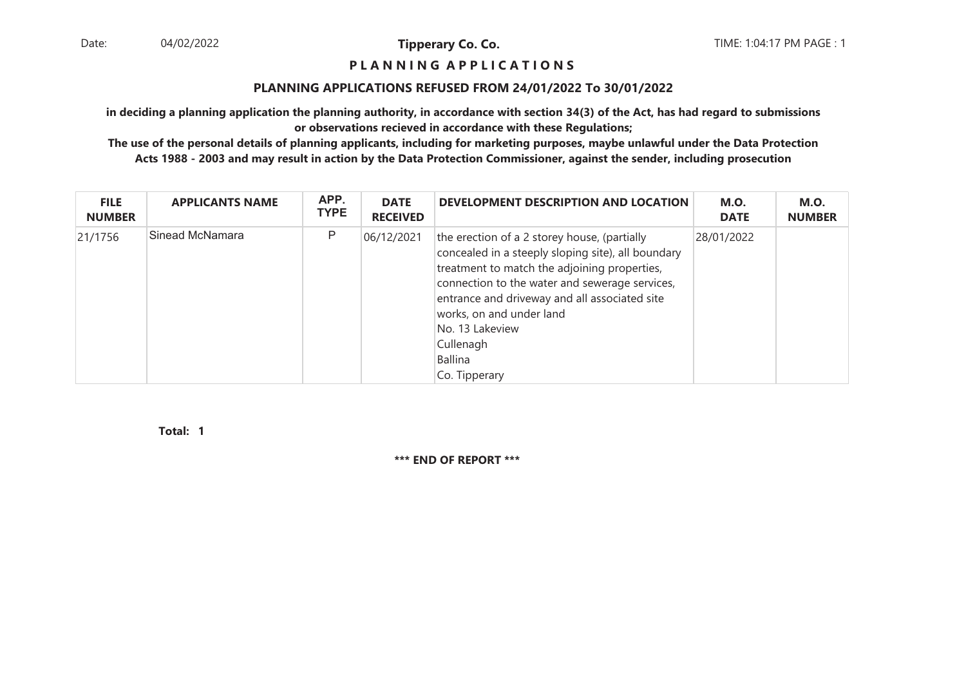#### **P L A N N I N G A P P L I C A T I O N S**

#### **PLANNING APPLICATIONS REFUSED FROM 24/01/2022 To 30/01/2022**

**in deciding a planning application the planning authority, in accordance with section 34(3) of the Act, has had regard to submissionsor observations recieved in accordance with these Regulations;**

 **The use of the personal details of planning applicants, including for marketing purposes, maybe unlawful under the Data ProtectionActs 1988 - 2003 and may result in action by the Data Protection Commissioner, against the sender, including prosecution**

| <b>FILE</b><br><b>NUMBER</b> | <b>APPLICANTS NAME</b> | APP.<br><b>TYPE</b> | <b>DATE</b><br><b>RECEIVED</b> | DEVELOPMENT DESCRIPTION AND LOCATION                                                                                                                                                                                                                                                                                                          | <b>M.O.</b><br><b>DATE</b> | <b>M.O.</b><br><b>NUMBER</b> |
|------------------------------|------------------------|---------------------|--------------------------------|-----------------------------------------------------------------------------------------------------------------------------------------------------------------------------------------------------------------------------------------------------------------------------------------------------------------------------------------------|----------------------------|------------------------------|
| 21/1756                      | Sinead McNamara        | P                   | 06/12/2021                     | the erection of a 2 storey house, (partially<br>concealed in a steeply sloping site), all boundary<br>treatment to match the adjoining properties,<br>connection to the water and sewerage services,<br>entrance and driveway and all associated site<br>works, on and under land<br>No. 13 Lakeview<br>Cullenagh<br>Ballina<br>Co. Tipperary | 28/01/2022                 |                              |

**1Total:**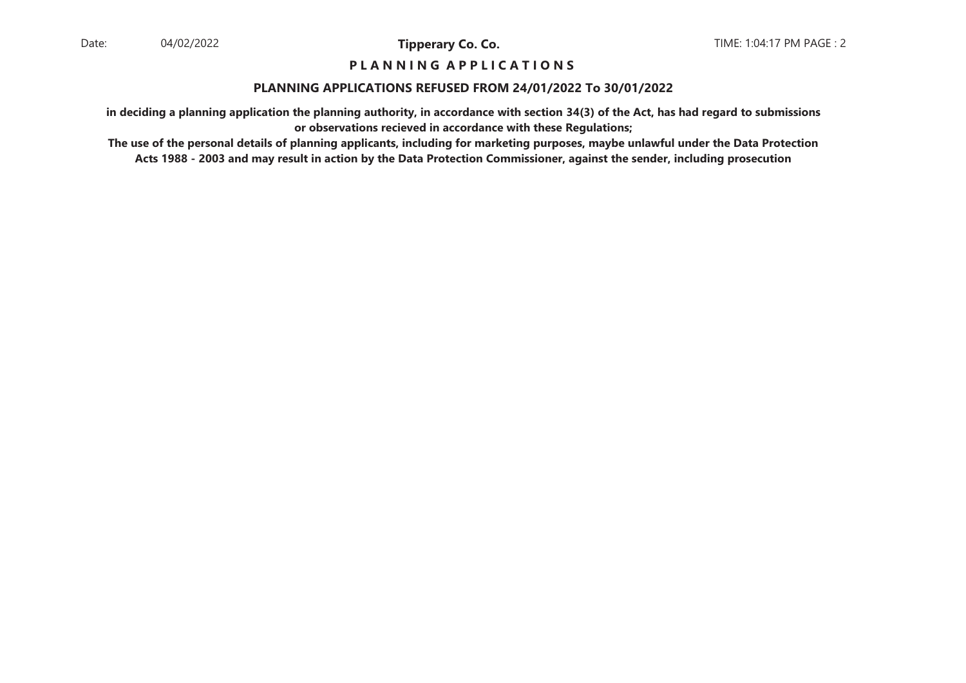## **P L A N N I N G A P P L I C A T I O N S**

#### **PLANNING APPLICATIONS REFUSED FROM 24/01/2022 To 30/01/2022**

**in deciding a planning application the planning authority, in accordance with section 34(3) of the Act, has had regard to submissionsor observations recieved in accordance with these Regulations;**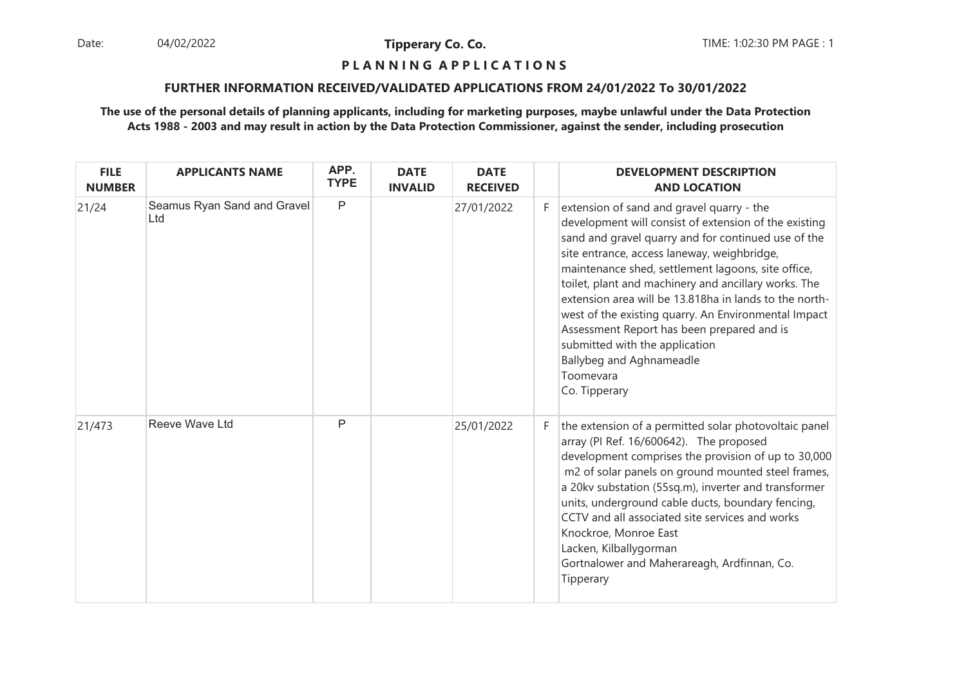Date: 04/02/2022 **Tipperary Co. Co. The:** 1:02:30 PM PAGE : 1 04/02/2022

**Tipperary Co. Co.**

#### **P L A N N I N G A P P L I C A T I O N S**

## **FURTHER INFORMATION RECEIVED/VALIDATED APPLICATIONS FROM 24/01/2022 To 30/01/2022**

| <b>FILE</b><br><b>NUMBER</b> | <b>APPLICANTS NAME</b>             | APP.<br><b>TYPE</b> | <b>DATE</b><br><b>INVALID</b> | <b>DATE</b><br><b>RECEIVED</b> |    | <b>DEVELOPMENT DESCRIPTION</b><br><b>AND LOCATION</b>                                                                                                                                                                                                                                                                                                                                                                                                                                                                                                                              |
|------------------------------|------------------------------------|---------------------|-------------------------------|--------------------------------|----|------------------------------------------------------------------------------------------------------------------------------------------------------------------------------------------------------------------------------------------------------------------------------------------------------------------------------------------------------------------------------------------------------------------------------------------------------------------------------------------------------------------------------------------------------------------------------------|
| 21/24                        | Seamus Ryan Sand and Gravel<br>Ltd | $\mathsf{P}$        |                               | 27/01/2022                     | F. | extension of sand and gravel quarry - the<br>development will consist of extension of the existing<br>sand and gravel quarry and for continued use of the<br>site entrance, access laneway, weighbridge,<br>maintenance shed, settlement lagoons, site office,<br>toilet, plant and machinery and ancillary works. The<br>extension area will be 13.818ha in lands to the north-<br>west of the existing quarry. An Environmental Impact<br>Assessment Report has been prepared and is<br>submitted with the application<br>Ballybeg and Aghnameadle<br>Toomevara<br>Co. Tipperary |
| 21/473                       | Reeve Wave Ltd                     | P                   |                               | 25/01/2022                     | F. | the extension of a permitted solar photovoltaic panel<br>array (PI Ref. 16/600642). The proposed<br>development comprises the provision of up to 30,000<br>m2 of solar panels on ground mounted steel frames,<br>a 20kv substation (55sq.m), inverter and transformer<br>units, underground cable ducts, boundary fencing,<br>CCTV and all associated site services and works<br>Knockroe, Monroe East<br>Lacken, Kilballygorman<br>Gortnalower and Maherareagh, Ardfinnan, Co.<br>Tipperary                                                                                       |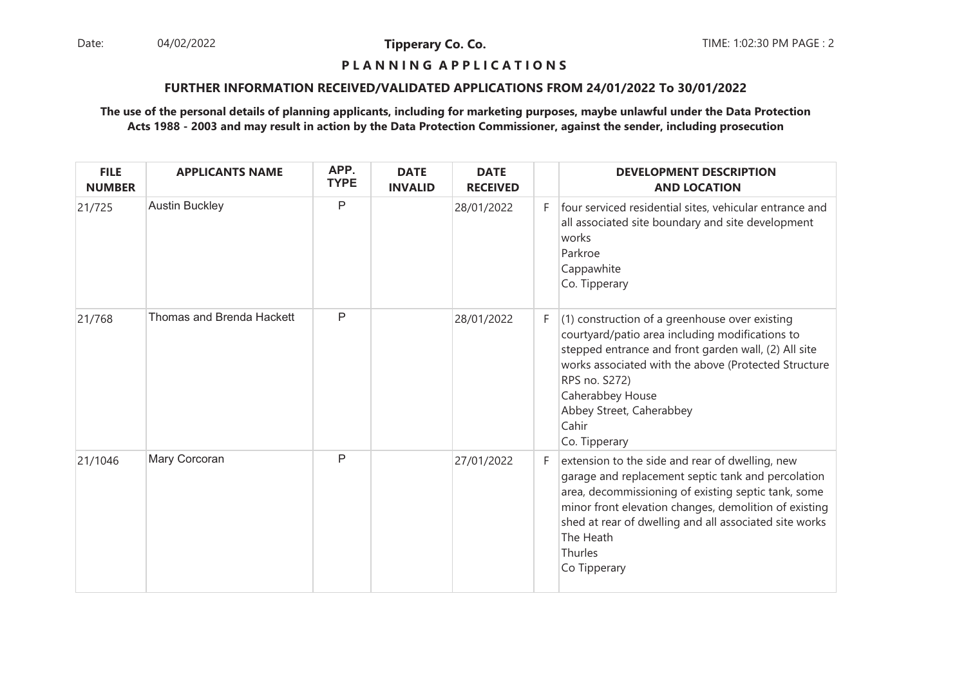Date: 04/02/2022 **Tipperary Co. Co. The Co. Co.** TIME: 1:02:30 PM PAGE : 2 04/02/2022

**Tipperary Co. Co.**

#### **P L A N N I N G A P P L I C A T I O N S**

## **FURTHER INFORMATION RECEIVED/VALIDATED APPLICATIONS FROM 24/01/2022 To 30/01/2022**

| <b>FILE</b><br><b>NUMBER</b> | <b>APPLICANTS NAME</b>           | APP.<br><b>TYPE</b> | <b>DATE</b><br><b>INVALID</b> | <b>DATE</b><br><b>RECEIVED</b> |    | <b>DEVELOPMENT DESCRIPTION</b><br><b>AND LOCATION</b>                                                                                                                                                                                                                                                                   |
|------------------------------|----------------------------------|---------------------|-------------------------------|--------------------------------|----|-------------------------------------------------------------------------------------------------------------------------------------------------------------------------------------------------------------------------------------------------------------------------------------------------------------------------|
| 21/725                       | <b>Austin Buckley</b>            | P                   |                               | 28/01/2022                     | F. | four serviced residential sites, vehicular entrance and<br>all associated site boundary and site development<br>works<br>Parkroe<br>Cappawhite<br>Co. Tipperary                                                                                                                                                         |
| 21/768                       | <b>Thomas and Brenda Hackett</b> | $\mathsf{P}$        |                               | 28/01/2022                     | F. | $(1)$ construction of a greenhouse over existing<br>courtyard/patio area including modifications to<br>stepped entrance and front garden wall, (2) All site<br>works associated with the above (Protected Structure<br>RPS no. S272)<br>Caherabbey House<br>Abbey Street, Caherabbey<br>Cahir<br>Co. Tipperary          |
| 21/1046                      | Mary Corcoran                    | $\mathsf{P}$        |                               | 27/01/2022                     | F. | extension to the side and rear of dwelling, new<br>garage and replacement septic tank and percolation<br>area, decommissioning of existing septic tank, some<br>minor front elevation changes, demolition of existing<br>shed at rear of dwelling and all associated site works<br>The Heath<br>Thurles<br>Co Tipperary |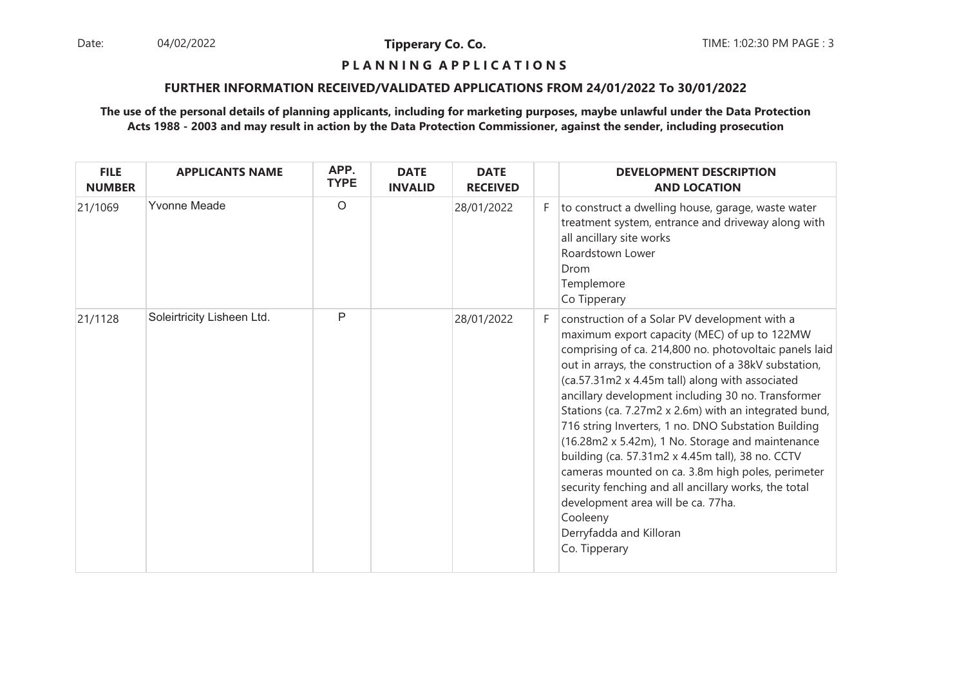Date: 04/02/2022 **Tipperary Co. Co. The:** 1:02:30 PM PAGE : 3 04/02/2022

**Tipperary Co. Co.**

#### **P L A N N I N G A P P L I C A T I O N S**

## **FURTHER INFORMATION RECEIVED/VALIDATED APPLICATIONS FROM 24/01/2022 To 30/01/2022**

| <b>FILE</b><br><b>NUMBER</b> | <b>APPLICANTS NAME</b>     | APP.<br><b>TYPE</b> | <b>DATE</b><br><b>INVALID</b> | <b>DATE</b><br><b>RECEIVED</b> |    | <b>DEVELOPMENT DESCRIPTION</b><br><b>AND LOCATION</b>                                                                                                                                                                                                                                                                                                                                                                                                                                                                                                                                                                                                                                                                                                        |
|------------------------------|----------------------------|---------------------|-------------------------------|--------------------------------|----|--------------------------------------------------------------------------------------------------------------------------------------------------------------------------------------------------------------------------------------------------------------------------------------------------------------------------------------------------------------------------------------------------------------------------------------------------------------------------------------------------------------------------------------------------------------------------------------------------------------------------------------------------------------------------------------------------------------------------------------------------------------|
| 21/1069                      | <b>Yvonne Meade</b>        | $\circ$             |                               | 28/01/2022                     | F. | to construct a dwelling house, garage, waste water<br>treatment system, entrance and driveway along with<br>all ancillary site works<br>Roardstown Lower<br>Drom<br>Templemore<br>Co Tipperary                                                                                                                                                                                                                                                                                                                                                                                                                                                                                                                                                               |
| 21/1128                      | Soleirtricity Lisheen Ltd. | P                   |                               | 28/01/2022                     | F. | construction of a Solar PV development with a<br>maximum export capacity (MEC) of up to 122MW<br>comprising of ca. 214,800 no. photovoltaic panels laid<br>out in arrays, the construction of a 38kV substation,<br>(ca.57.31m2 x 4.45m tall) along with associated<br>ancillary development including 30 no. Transformer<br>Stations (ca. 7.27m2 x 2.6m) with an integrated bund,<br>716 string Inverters, 1 no. DNO Substation Building<br>(16.28m2 x 5.42m), 1 No. Storage and maintenance<br>building (ca. 57.31m2 x 4.45m tall), 38 no. CCTV<br>cameras mounted on ca. 3.8m high poles, perimeter<br>security fenching and all ancillary works, the total<br>development area will be ca. 77ha.<br>Cooleeny<br>Derryfadda and Killoran<br>Co. Tipperary |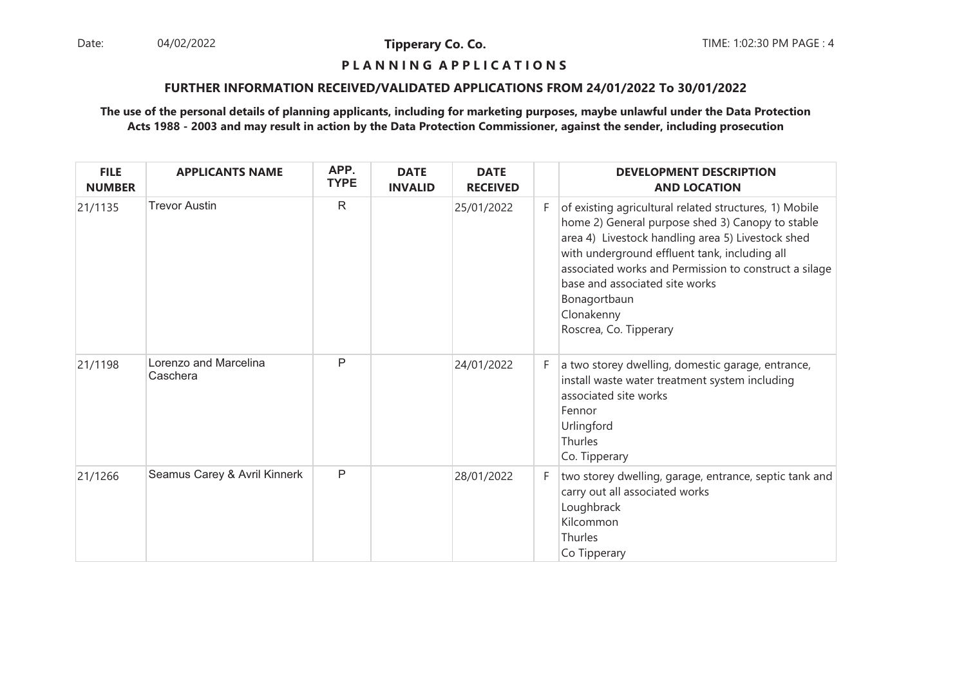Date: 04/02/2022 **Tipperary Co. Co. The Co. Co.** TIME: 1:02:30 PM PAGE : 4 04/02/2022

**Tipperary Co. Co.**

## **P L A N N I N G A P P L I C A T I O N S**

## **FURTHER INFORMATION RECEIVED/VALIDATED APPLICATIONS FROM 24/01/2022 To 30/01/2022**

| <b>FILE</b><br><b>NUMBER</b> | <b>APPLICANTS NAME</b>            | APP.<br><b>TYPE</b> | <b>DATE</b><br><b>INVALID</b> | <b>DATE</b><br><b>RECEIVED</b> |    | <b>DEVELOPMENT DESCRIPTION</b><br><b>AND LOCATION</b>                                                                                                                                                                                                                                                                                                               |
|------------------------------|-----------------------------------|---------------------|-------------------------------|--------------------------------|----|---------------------------------------------------------------------------------------------------------------------------------------------------------------------------------------------------------------------------------------------------------------------------------------------------------------------------------------------------------------------|
| 21/1135                      | <b>Trevor Austin</b>              | $\mathsf{R}$        |                               | 25/01/2022                     | F. | of existing agricultural related structures, 1) Mobile<br>home 2) General purpose shed 3) Canopy to stable<br>area 4) Livestock handling area 5) Livestock shed<br>with underground effluent tank, including all<br>associated works and Permission to construct a silage<br>base and associated site works<br>Bonagortbaun<br>Clonakenny<br>Roscrea, Co. Tipperary |
| 21/1198                      | Lorenzo and Marcelina<br>Caschera | P                   |                               | 24/01/2022                     | F. | a two storey dwelling, domestic garage, entrance,<br>install waste water treatment system including<br>associated site works<br>Fennor<br>Urlingford<br>Thurles<br>Co. Tipperary                                                                                                                                                                                    |
| 21/1266                      | Seamus Carey & Avril Kinnerk      | P                   |                               | 28/01/2022                     | F. | two storey dwelling, garage, entrance, septic tank and<br>carry out all associated works<br>Loughbrack<br>Kilcommon<br>Thurles<br>Co Tipperary                                                                                                                                                                                                                      |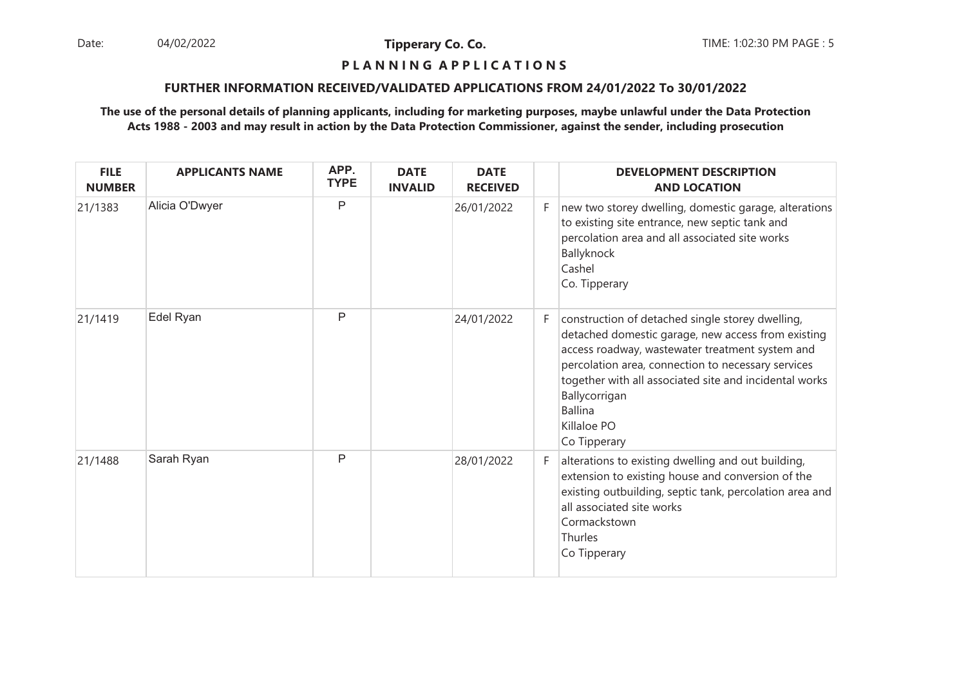Date: 04/02/2022 **Tipperary Co. Co. The:** 1:02:30 PM PAGE : 5 04/02/2022

**Tipperary Co. Co.**

# **P L A N N I N G A P P L I C A T I O N S**

## **FURTHER INFORMATION RECEIVED/VALIDATED APPLICATIONS FROM 24/01/2022 To 30/01/2022**

| <b>FILE</b><br><b>NUMBER</b> | <b>APPLICANTS NAME</b> | APP.<br><b>TYPE</b> | <b>DATE</b><br><b>INVALID</b> | <b>DATE</b><br><b>RECEIVED</b> |    | <b>DEVELOPMENT DESCRIPTION</b><br><b>AND LOCATION</b>                                                                                                                                                                                                                                                                                       |
|------------------------------|------------------------|---------------------|-------------------------------|--------------------------------|----|---------------------------------------------------------------------------------------------------------------------------------------------------------------------------------------------------------------------------------------------------------------------------------------------------------------------------------------------|
| 21/1383                      | Alicia O'Dwyer         | P                   |                               | 26/01/2022                     | F. | new two storey dwelling, domestic garage, alterations<br>to existing site entrance, new septic tank and<br>percolation area and all associated site works<br>Ballyknock<br>Cashel<br>Co. Tipperary                                                                                                                                          |
| 21/1419                      | Edel Ryan              | P                   |                               | 24/01/2022                     | F. | construction of detached single storey dwelling,<br>detached domestic garage, new access from existing<br>access roadway, wastewater treatment system and<br>percolation area, connection to necessary services<br>together with all associated site and incidental works<br>Ballycorrigan<br><b>Ballina</b><br>Killaloe PO<br>Co Tipperary |
| 21/1488                      | Sarah Ryan             | P                   |                               | 28/01/2022                     | F. | alterations to existing dwelling and out building,<br>extension to existing house and conversion of the<br>existing outbuilding, septic tank, percolation area and<br>all associated site works<br>Cormackstown<br>Thurles<br>Co Tipperary                                                                                                  |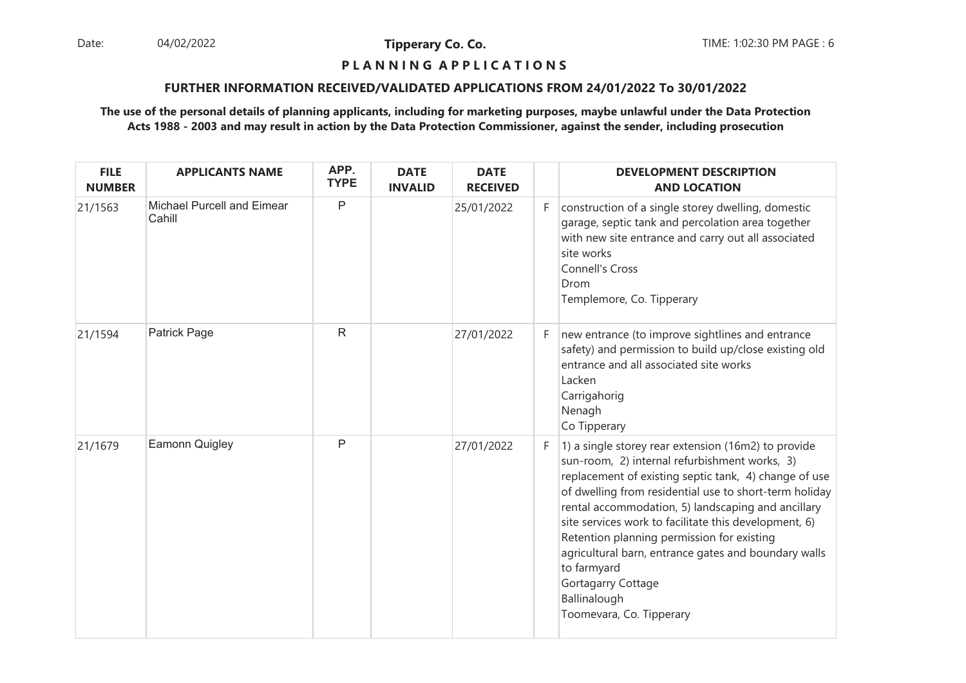Date: 04/02/2022 **Tipperary Co. Co. The Co. Co.** TIME: 1:02:30 PM PAGE : 6 04/02/2022

**Tipperary Co. Co.**

# **P L A N N I N G A P P L I C A T I O N S**

## **FURTHER INFORMATION RECEIVED/VALIDATED APPLICATIONS FROM 24/01/2022 To 30/01/2022**

| <b>FILE</b><br><b>NUMBER</b> | <b>APPLICANTS NAME</b>               | APP.<br><b>TYPE</b> | <b>DATE</b><br><b>INVALID</b> | <b>DATE</b><br><b>RECEIVED</b> |    | <b>DEVELOPMENT DESCRIPTION</b><br><b>AND LOCATION</b>                                                                                                                                                                                                                                                                                                                                                                                                                                                                         |
|------------------------------|--------------------------------------|---------------------|-------------------------------|--------------------------------|----|-------------------------------------------------------------------------------------------------------------------------------------------------------------------------------------------------------------------------------------------------------------------------------------------------------------------------------------------------------------------------------------------------------------------------------------------------------------------------------------------------------------------------------|
| 21/1563                      | Michael Purcell and Eimear<br>Cahill | P                   |                               | 25/01/2022                     | F. | construction of a single storey dwelling, domestic<br>garage, septic tank and percolation area together<br>with new site entrance and carry out all associated<br>site works<br><b>Connell's Cross</b><br>Drom<br>Templemore, Co. Tipperary                                                                                                                                                                                                                                                                                   |
| 21/1594                      | <b>Patrick Page</b>                  | $\mathsf{R}$        |                               | 27/01/2022                     | F. | new entrance (to improve sightlines and entrance<br>safety) and permission to build up/close existing old<br>entrance and all associated site works<br>Lacken<br>Carrigahorig<br>Nenagh<br>Co Tipperary                                                                                                                                                                                                                                                                                                                       |
| 21/1679                      | Eamonn Quigley                       | P                   |                               | 27/01/2022                     | F. | 1) a single storey rear extension (16m2) to provide<br>sun-room, 2) internal refurbishment works, 3)<br>replacement of existing septic tank, 4) change of use<br>of dwelling from residential use to short-term holiday<br>rental accommodation, 5) landscaping and ancillary<br>site services work to facilitate this development, 6)<br>Retention planning permission for existing<br>agricultural barn, entrance gates and boundary walls<br>to farmyard<br>Gortagarry Cottage<br>Ballinalough<br>Toomevara, Co. Tipperary |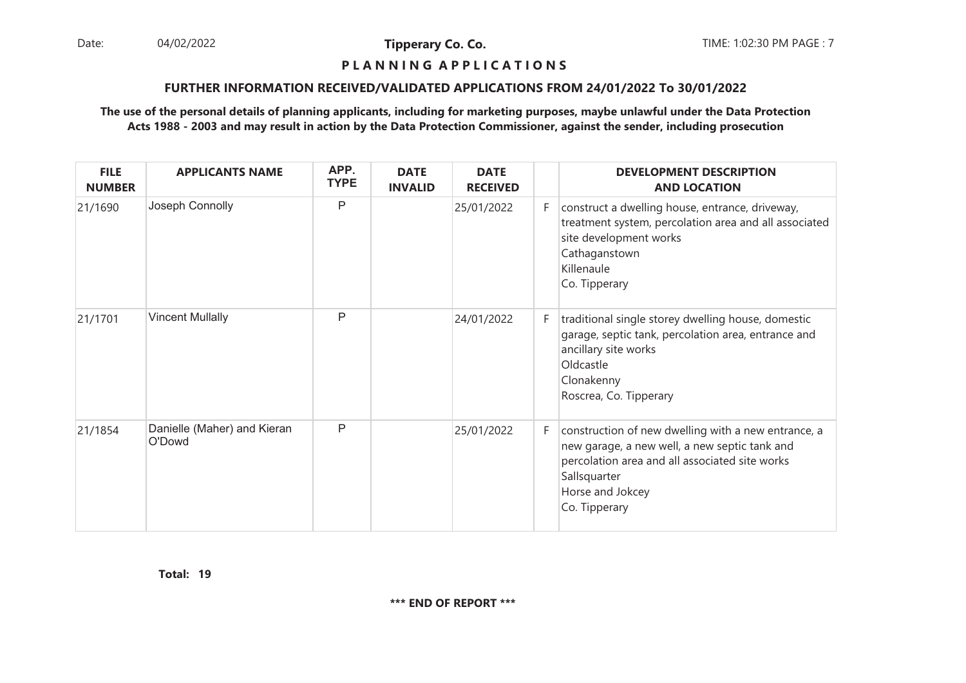Date: 04/02/2022 **Tipperary Co. Co. The Co. Co.** TIME: 1:02:30 PM PAGE : 7 04/02/2022

**Tipperary Co. Co.**

#### **P L A N N I N G A P P L I C A T I O N S**

## **FURTHER INFORMATION RECEIVED/VALIDATED APPLICATIONS FROM 24/01/2022 To 30/01/2022**

## **The use of the personal details of planning applicants, including for marketing purposes, maybe unlawful under the Data ProtectionActs 1988 - 2003 and may result in action by the Data Protection Commissioner, against the sender, including prosecution**

| <b>FILE</b><br><b>NUMBER</b> | <b>APPLICANTS NAME</b>                | APP.<br><b>TYPE</b> | <b>DATE</b><br><b>INVALID</b> | <b>DATE</b><br><b>RECEIVED</b> |    | <b>DEVELOPMENT DESCRIPTION</b><br><b>AND LOCATION</b>                                                                                                                                                       |
|------------------------------|---------------------------------------|---------------------|-------------------------------|--------------------------------|----|-------------------------------------------------------------------------------------------------------------------------------------------------------------------------------------------------------------|
| 21/1690                      | Joseph Connolly                       | P                   |                               | 25/01/2022                     | F. | construct a dwelling house, entrance, driveway,<br>treatment system, percolation area and all associated<br>site development works<br>Cathaganstown<br>Killenaule<br>Co. Tipperary                          |
| 21/1701                      | <b>Vincent Mullally</b>               | P                   |                               | 24/01/2022                     | F. | traditional single storey dwelling house, domestic<br>garage, septic tank, percolation area, entrance and<br>ancillary site works<br>Oldcastle<br>Clonakenny<br>Roscrea, Co. Tipperary                      |
| 21/1854                      | Danielle (Maher) and Kieran<br>O'Dowd | P                   |                               | 25/01/2022                     | F. | construction of new dwelling with a new entrance, a<br>new garage, a new well, a new septic tank and<br>percolation area and all associated site works<br>Sallsquarter<br>Horse and Jokcey<br>Co. Tipperary |

**19Total:**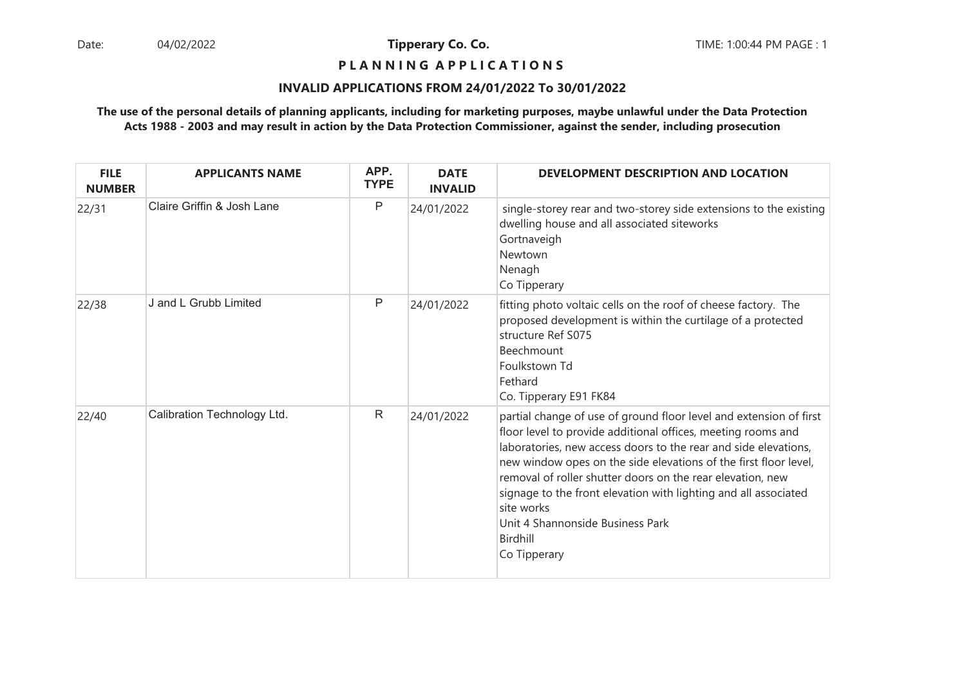## **P L A N N I N G A P P L I C A T I O N S**

## **INVALID APPLICATIONS FROM 24/01/2022 To 30/01/2022**

| <b>FILE</b><br><b>NUMBER</b> | <b>APPLICANTS NAME</b>      | APP.<br><b>TYPE</b> | <b>DATE</b><br><b>INVALID</b> | <b>DEVELOPMENT DESCRIPTION AND LOCATION</b>                                                                                                                                                                                                                                                                                                                                                                                                                                              |
|------------------------------|-----------------------------|---------------------|-------------------------------|------------------------------------------------------------------------------------------------------------------------------------------------------------------------------------------------------------------------------------------------------------------------------------------------------------------------------------------------------------------------------------------------------------------------------------------------------------------------------------------|
| 22/31                        | Claire Griffin & Josh Lane  | $\mathsf{P}$        | 24/01/2022                    | single-storey rear and two-storey side extensions to the existing<br>dwelling house and all associated siteworks<br>Gortnaveigh<br>Newtown<br>Nenagh<br>Co Tipperary                                                                                                                                                                                                                                                                                                                     |
| 22/38                        | J and L Grubb Limited       | $\mathsf{P}$        | 24/01/2022                    | fitting photo voltaic cells on the roof of cheese factory. The<br>proposed development is within the curtilage of a protected<br>structure Ref S075<br>Beechmount<br>Foulkstown Td<br>Fethard<br>Co. Tipperary E91 FK84                                                                                                                                                                                                                                                                  |
| 22/40                        | Calibration Technology Ltd. | $\mathsf{R}$        | 24/01/2022                    | partial change of use of ground floor level and extension of first<br>floor level to provide additional offices, meeting rooms and<br>laboratories, new access doors to the rear and side elevations,<br>new window opes on the side elevations of the first floor level,<br>removal of roller shutter doors on the rear elevation, new<br>signage to the front elevation with lighting and all associated<br>site works<br>Unit 4 Shannonside Business Park<br>Birdhill<br>Co Tipperary |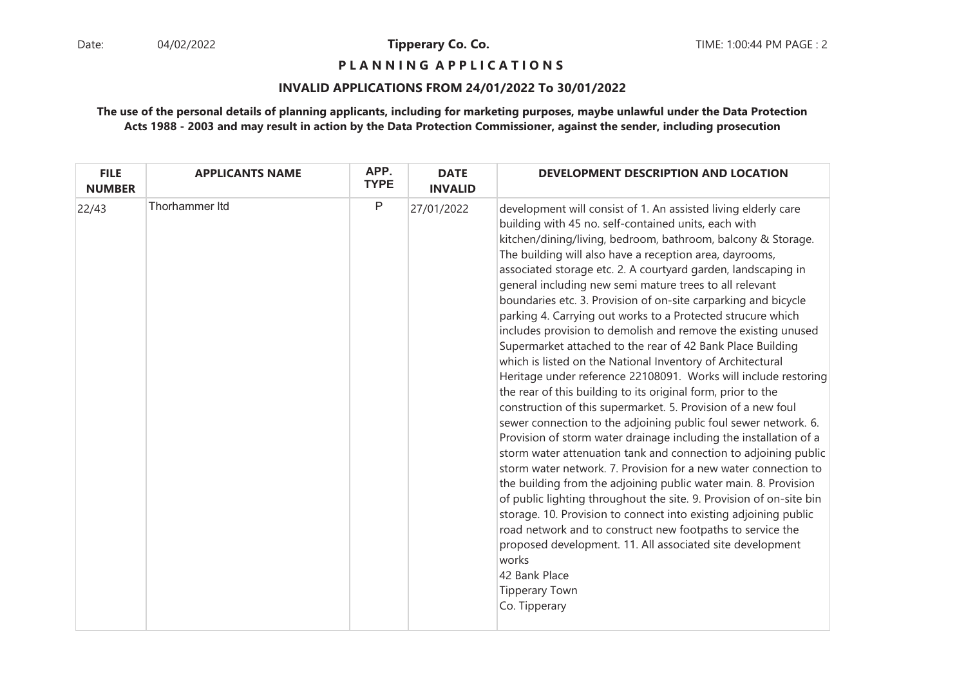**P L A N N I N G A P P L I C A T I O N S** 

## **INVALID APPLICATIONS FROM 24/01/2022 To 30/01/2022**

| <b>FILE</b><br><b>NUMBER</b> | <b>APPLICANTS NAME</b> | APP.<br><b>TYPE</b> | <b>DATE</b><br><b>INVALID</b> | DEVELOPMENT DESCRIPTION AND LOCATION                                                                                                                                                                                                                                                                                                                                                                                                                                                                                                                                                                                                                                                                                                                                                                                                                                                                                                                                                                                                                                                                                                                                                                                                                                                                                                                                                                                                                                                                                                                                                                      |
|------------------------------|------------------------|---------------------|-------------------------------|-----------------------------------------------------------------------------------------------------------------------------------------------------------------------------------------------------------------------------------------------------------------------------------------------------------------------------------------------------------------------------------------------------------------------------------------------------------------------------------------------------------------------------------------------------------------------------------------------------------------------------------------------------------------------------------------------------------------------------------------------------------------------------------------------------------------------------------------------------------------------------------------------------------------------------------------------------------------------------------------------------------------------------------------------------------------------------------------------------------------------------------------------------------------------------------------------------------------------------------------------------------------------------------------------------------------------------------------------------------------------------------------------------------------------------------------------------------------------------------------------------------------------------------------------------------------------------------------------------------|
| 22/43                        | Thorhammer Itd         | P                   | 27/01/2022                    | development will consist of 1. An assisted living elderly care<br>building with 45 no. self-contained units, each with<br>kitchen/dining/living, bedroom, bathroom, balcony & Storage.<br>The building will also have a reception area, dayrooms,<br>associated storage etc. 2. A courtyard garden, landscaping in<br>general including new semi mature trees to all relevant<br>boundaries etc. 3. Provision of on-site carparking and bicycle<br>parking 4. Carrying out works to a Protected strucure which<br>includes provision to demolish and remove the existing unused<br>Supermarket attached to the rear of 42 Bank Place Building<br>which is listed on the National Inventory of Architectural<br>Heritage under reference 22108091. Works will include restoring<br>the rear of this building to its original form, prior to the<br>construction of this supermarket. 5. Provision of a new foul<br>sewer connection to the adjoining public foul sewer network. 6.<br>Provision of storm water drainage including the installation of a<br>storm water attenuation tank and connection to adjoining public<br>storm water network. 7. Provision for a new water connection to<br>the building from the adjoining public water main. 8. Provision<br>of public lighting throughout the site. 9. Provision of on-site bin<br>storage. 10. Provision to connect into existing adjoining public<br>road network and to construct new footpaths to service the<br>proposed development. 11. All associated site development<br>works<br>42 Bank Place<br><b>Tipperary Town</b><br>Co. Tipperary |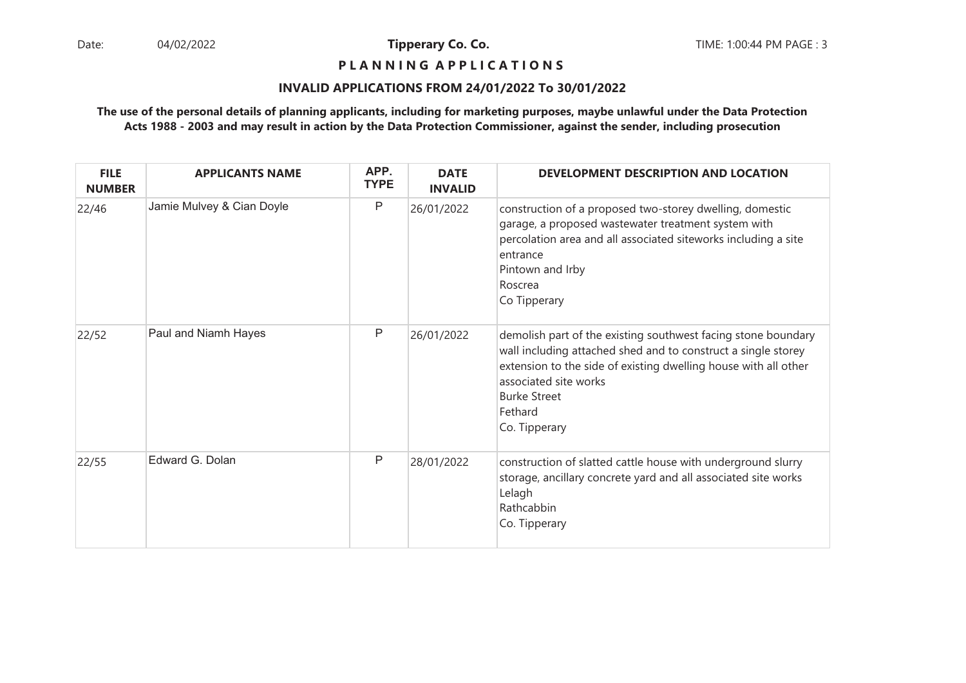## **P L A N N I N G A P P L I C A T I O N S**

#### **INVALID APPLICATIONS FROM 24/01/2022 To 30/01/2022**

| <b>FILE</b><br><b>NUMBER</b> | <b>APPLICANTS NAME</b>    | APP.<br><b>TYPE</b> | <b>DATE</b><br><b>INVALID</b> | DEVELOPMENT DESCRIPTION AND LOCATION                                                                                                                                                                                                                                          |
|------------------------------|---------------------------|---------------------|-------------------------------|-------------------------------------------------------------------------------------------------------------------------------------------------------------------------------------------------------------------------------------------------------------------------------|
| 22/46                        | Jamie Mulvey & Cian Doyle | P                   | 26/01/2022                    | construction of a proposed two-storey dwelling, domestic<br>garage, a proposed wastewater treatment system with<br>percolation area and all associated siteworks including a site<br>entrance<br>Pintown and Irby<br>Roscrea<br>Co Tipperary                                  |
| 22/52                        | Paul and Niamh Hayes      | P                   | 26/01/2022                    | demolish part of the existing southwest facing stone boundary<br>wall including attached shed and to construct a single storey<br>extension to the side of existing dwelling house with all other<br>associated site works<br><b>Burke Street</b><br>Fethard<br>Co. Tipperary |
| 22/55                        | Edward G. Dolan           | P                   | 28/01/2022                    | construction of slatted cattle house with underground slurry<br>storage, ancillary concrete yard and all associated site works<br>Lelagh<br>Rathcabbin<br>Co. Tipperary                                                                                                       |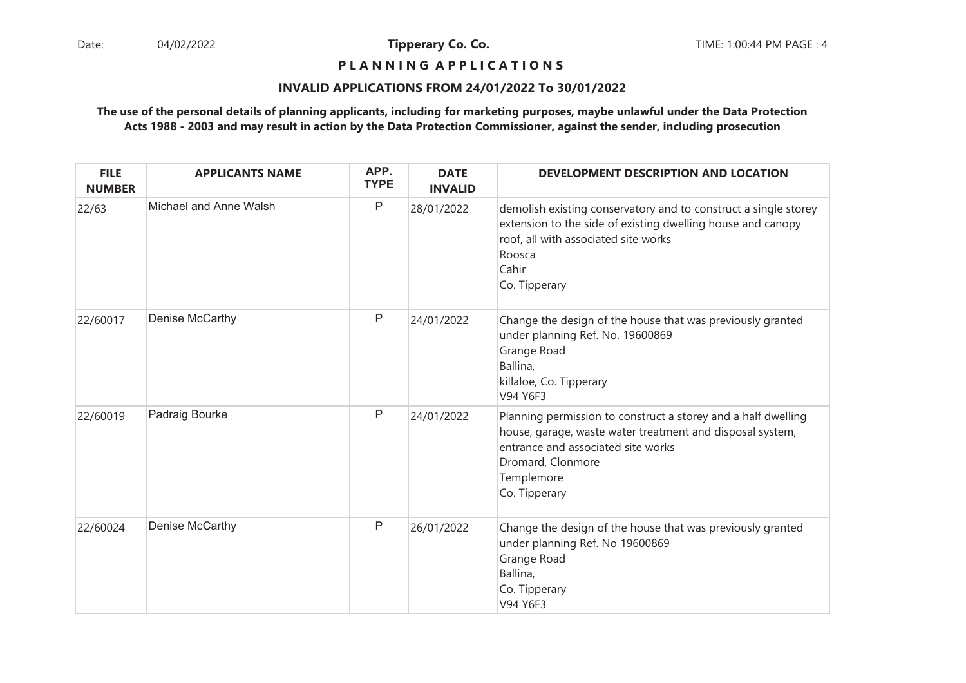## **P L A N N I N G A P P L I C A T I O N S**

#### **INVALID APPLICATIONS FROM 24/01/2022 To 30/01/2022**

| <b>FILE</b><br><b>NUMBER</b> | <b>APPLICANTS NAME</b> | APP.<br><b>TYPE</b> | <b>DATE</b><br><b>INVALID</b> | DEVELOPMENT DESCRIPTION AND LOCATION                                                                                                                                                                                 |
|------------------------------|------------------------|---------------------|-------------------------------|----------------------------------------------------------------------------------------------------------------------------------------------------------------------------------------------------------------------|
| 22/63                        | Michael and Anne Walsh | P                   | 28/01/2022                    | demolish existing conservatory and to construct a single storey<br>extension to the side of existing dwelling house and canopy<br>roof, all with associated site works<br>Roosca<br>Cahir<br>Co. Tipperary           |
| 22/60017                     | Denise McCarthy        | P                   | 24/01/2022                    | Change the design of the house that was previously granted<br>under planning Ref. No. 19600869<br>Grange Road<br>Ballina,<br>killaloe, Co. Tipperary<br>V94 Y6F3                                                     |
| 22/60019                     | Padraig Bourke         | P                   | 24/01/2022                    | Planning permission to construct a storey and a half dwelling<br>house, garage, waste water treatment and disposal system,<br>entrance and associated site works<br>Dromard, Clonmore<br>Templemore<br>Co. Tipperary |
| 22/60024                     | Denise McCarthy        | P                   | 26/01/2022                    | Change the design of the house that was previously granted<br>under planning Ref. No 19600869<br>Grange Road<br>Ballina,<br>Co. Tipperary<br>V94 Y6F3                                                                |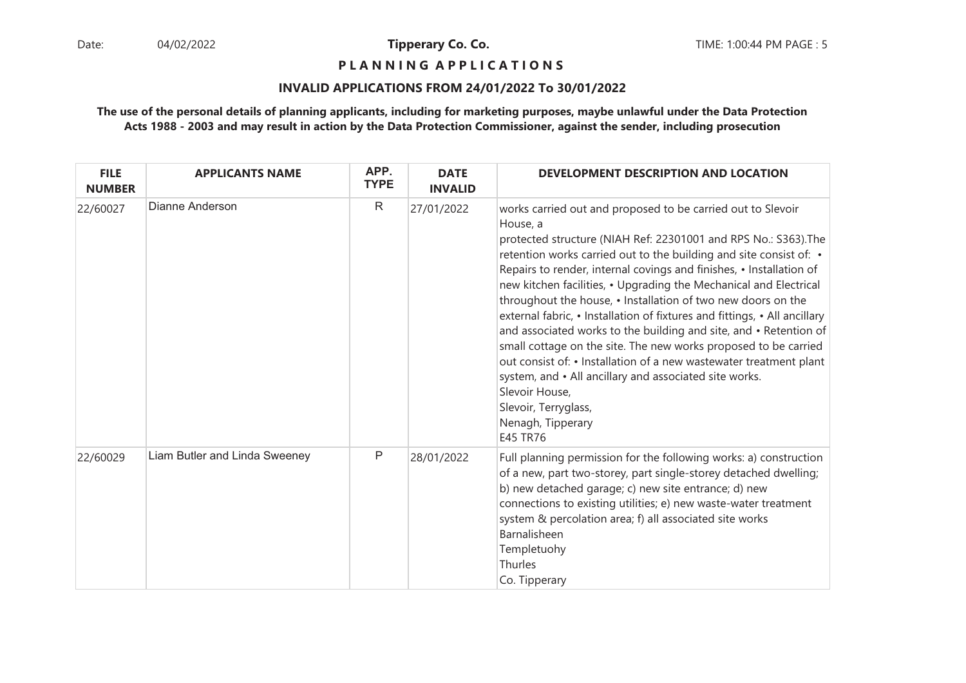**P L A N N I N G A P P L I C A T I O N S** 

## **INVALID APPLICATIONS FROM 24/01/2022 To 30/01/2022**

| <b>FILE</b><br><b>NUMBER</b> | <b>APPLICANTS NAME</b>        | APP.<br><b>TYPE</b> | <b>DATE</b><br><b>INVALID</b> | DEVELOPMENT DESCRIPTION AND LOCATION                                                                                                                                                                                                                                                                                                                                                                                                                                                                                                                                                                                                                                                                                                                                                                                                                                |
|------------------------------|-------------------------------|---------------------|-------------------------------|---------------------------------------------------------------------------------------------------------------------------------------------------------------------------------------------------------------------------------------------------------------------------------------------------------------------------------------------------------------------------------------------------------------------------------------------------------------------------------------------------------------------------------------------------------------------------------------------------------------------------------------------------------------------------------------------------------------------------------------------------------------------------------------------------------------------------------------------------------------------|
| 22/60027                     | Dianne Anderson               | $\mathsf{R}$        | 27/01/2022                    | works carried out and proposed to be carried out to Slevoir<br>House, a<br>protected structure (NIAH Ref: 22301001 and RPS No.: S363). The<br>retention works carried out to the building and site consist of: •<br>Repairs to render, internal covings and finishes, • Installation of<br>new kitchen facilities, • Upgrading the Mechanical and Electrical<br>throughout the house, • Installation of two new doors on the<br>external fabric, • Installation of fixtures and fittings, • All ancillary<br>and associated works to the building and site, and • Retention of<br>small cottage on the site. The new works proposed to be carried<br>out consist of: • Installation of a new wastewater treatment plant<br>system, and • All ancillary and associated site works.<br>Slevoir House,<br>Slevoir, Terryglass,<br>Nenagh, Tipperary<br><b>E45 TR76</b> |
| 22/60029                     | Liam Butler and Linda Sweeney | P                   | 28/01/2022                    | Full planning permission for the following works: a) construction<br>of a new, part two-storey, part single-storey detached dwelling;<br>b) new detached garage; c) new site entrance; d) new<br>connections to existing utilities; e) new waste-water treatment<br>system & percolation area; f) all associated site works<br>Barnalisheen<br>Templetuohy<br>Thurles<br>Co. Tipperary                                                                                                                                                                                                                                                                                                                                                                                                                                                                              |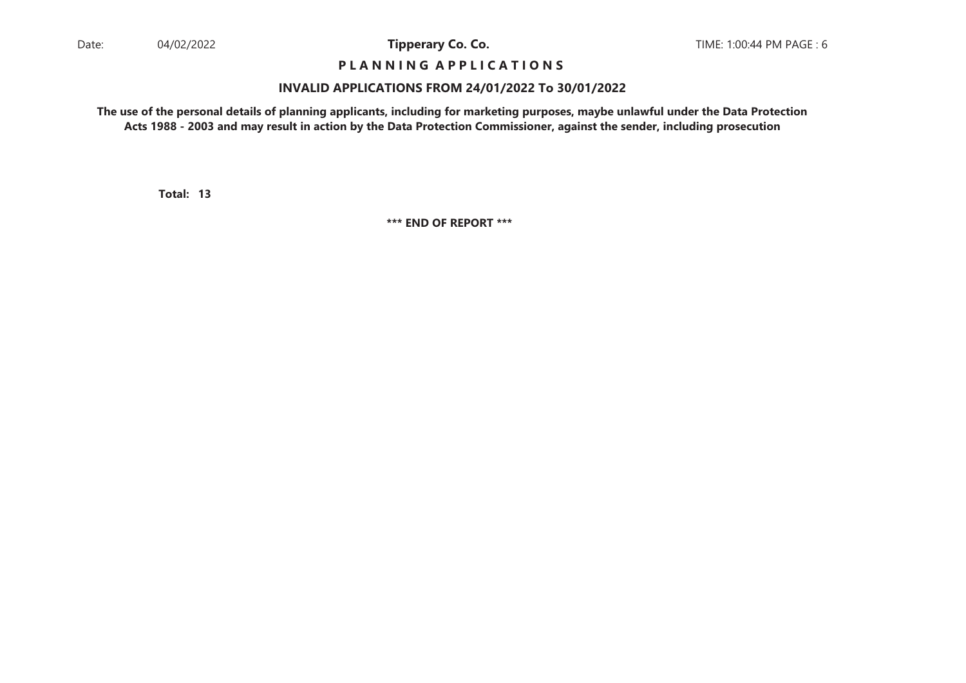# **P L A N N I N G A P P L I C A T I O N S**

#### **INVALID APPLICATIONS FROM 24/01/2022 To 30/01/2022**

**The use of the personal details of planning applicants, including for marketing purposes, maybe unlawful under the Data ProtectionActs 1988 - 2003 and may result in action by the Data Protection Commissioner, against the sender, including prosecution**

**13Total:**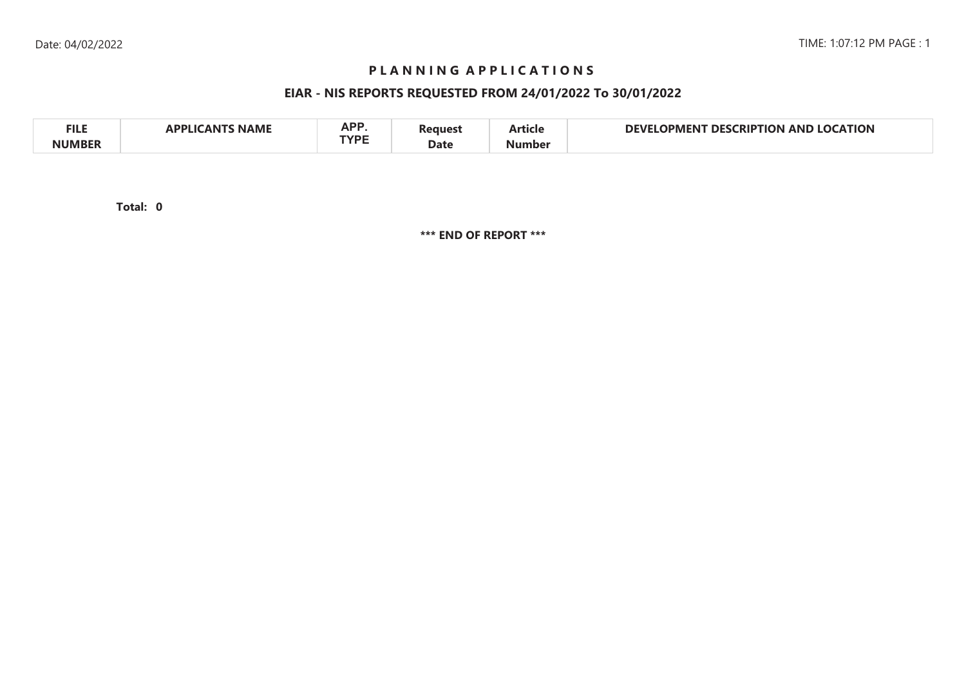# **P L A N N I N G A P P L I C A T I O N S**

# **EIAR - NIS REPORTS REQUESTED FROM 24/01/2022 To 30/01/2022**

| <b>FILE</b> | <b>NAME</b><br>л. | A D.D<br>AP.<br>TVDE | 'eaues' | - -<br>.  ticle | <b>LOCATION</b><br>NEVI<br><b>CRIPTION</b><br>DESI<br>JPMFNI<br>AND. |  |
|-------------|-------------------|----------------------|---------|-----------------|----------------------------------------------------------------------|--|
| NUMRFR      |                   |                      | Date    | Number          |                                                                      |  |

**0Total:**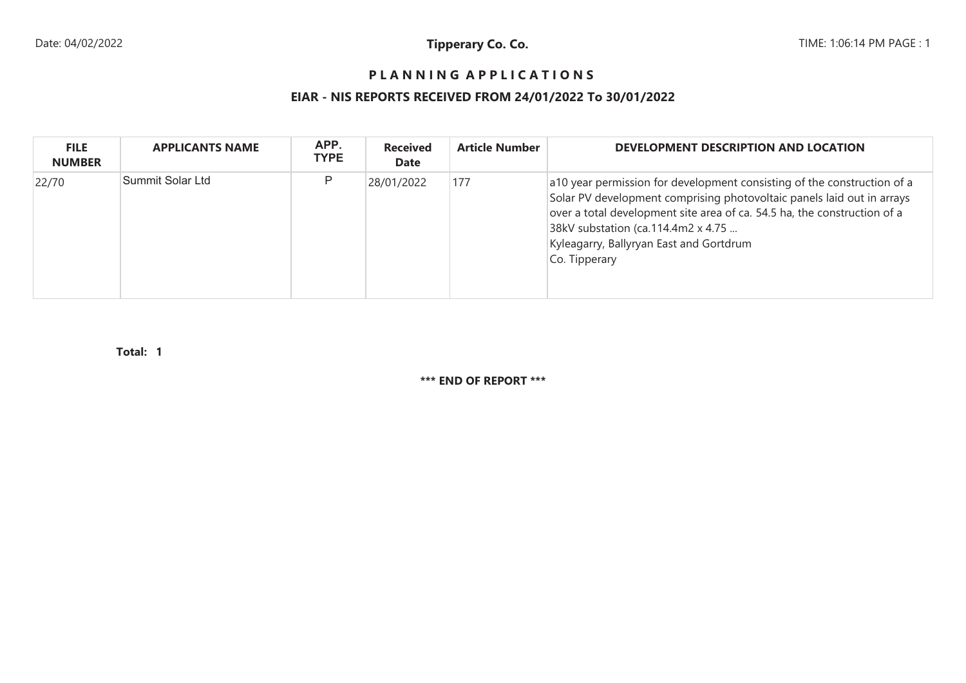# **P L A N N I N G A P P L I C A T I O N S**

# **EIAR - NIS REPORTS RECEIVED FROM 24/01/2022 To 30/01/2022**

| <b>FILE</b><br><b>NUMBER</b> | <b>APPLICANTS NAME</b> | APP.<br><b>TYPE</b> | <b>Received</b><br><b>Date</b> | <b>Article Number</b> | DEVELOPMENT DESCRIPTION AND LOCATION                                                                                                                                                                                                                                                                                            |
|------------------------------|------------------------|---------------------|--------------------------------|-----------------------|---------------------------------------------------------------------------------------------------------------------------------------------------------------------------------------------------------------------------------------------------------------------------------------------------------------------------------|
| 22/70                        | Summit Solar Ltd       | P                   | 28/01/2022                     | 177                   | a10 year permission for development consisting of the construction of a<br>Solar PV development comprising photovoltaic panels laid out in arrays<br>over a total development site area of ca. 54.5 ha, the construction of a<br>38kV substation (ca.114.4m2 x 4.75<br>Kyleagarry, Ballyryan East and Gortdrum<br>Co. Tipperary |

**1Total:**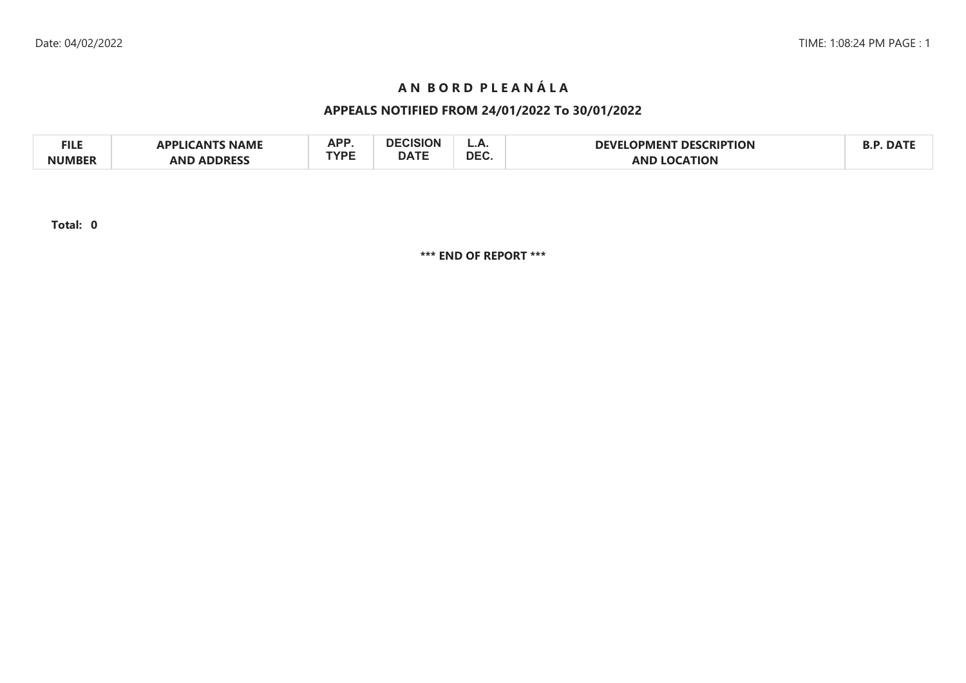# **A N B O R D P L E A N Á L A**

# **APPEALS NOTIFIED FROM 24/01/2022 To 30/01/2022**

| FILE          | <b>NAME</b><br><b>PPLICANTS</b> | <b>ADD</b> | <b>DECISION</b> | L.C.       | <b>DESCRIPTION</b><br><b>DEVEI</b><br><b>LOPMEN</b> | DA <sup>-</sup> |
|---------------|---------------------------------|------------|-----------------|------------|-----------------------------------------------------|-----------------|
| <b>NUMBER</b> | <b>ADDRESS</b><br>AND           | rvdc       | <b>DATE</b>     | <b>DEC</b> | <b>LOCATION</b><br><b>AND</b>                       |                 |

**Total: 0**